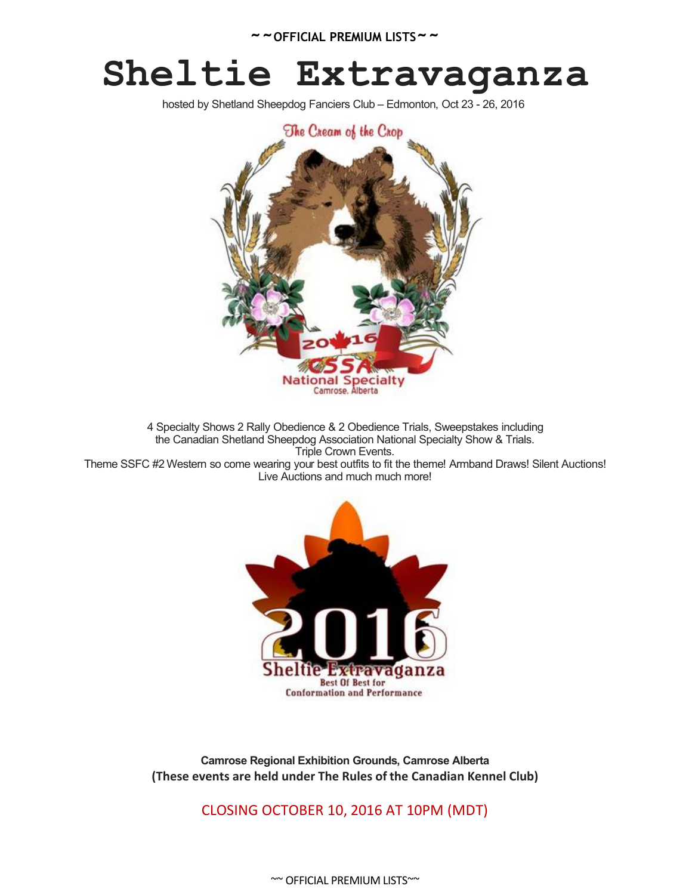# **Sheltie Extravaganza**

hosted by Shetland Sheepdog Fanciers Club – Edmonton, Oct 23 - 26, 2016



4 Specialty Shows 2 Rally Obedience & 2 Obedience Trials, Sweepstakes including the Canadian Shetland Sheepdog Association National Specialty Show & Trials. Triple Crown Events. Theme SSFC #2 Western so come wearing your best outfits to fit the theme! Armband Draws! Silent Auctions! Live Auctions and much much more!



**Camrose Regional Exhibition Grounds, Camrose Alberta (These events are held under The Rules of the Canadian Kennel Club)**

CLOSING OCTOBER 10, 2016 AT 10PM (MDT)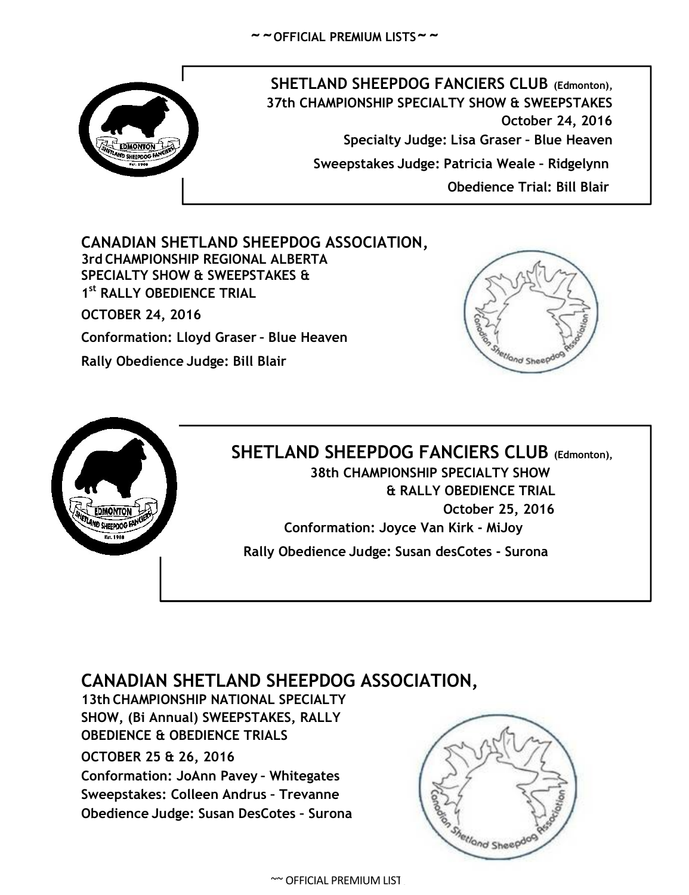

**SHETLAND SHEEPDOG FANCIERS CLUB (Edmonton), 37th CHAMPIONSHIP SPECIALTY SHOW & SWEEPSTAKES October 24, 2016 Specialty Judge: Lisa Graser – Blue Heaven Sweepstakes Judge: Patricia Weale – Ridgelynn Obedience Trial: Bill Blair**

**CANADIAN SHETLAND SHEEPDOG ASSOCIATION, 3rd CHAMPIONSHIP REGIONAL ALBERTA SPECIALTY SHOW & SWEEPSTAKES & 1 st RALLY OBEDIENCE TRIAL OCTOBER 24, 2016**

**Conformation: Lloyd Graser – Blue Heaven**

**Rally Obedience Judge: Bill Blair**





# **SHETLAND SHEEPDOG FANCIERS CLUB (Edmonton),**

**38th CHAMPIONSHIP SPECIALTY SHOW & RALLY OBEDIENCE TRIAL October 25, 2016 Conformation: Joyce Van Kirk - MiJoy**

**Rally Obedience Judge: Susan desCotes - Surona**

# **CANADIAN SHETLAND SHEEPDOG ASSOCIATION,**

**13th CHAMPIONSHIP NATIONAL SPECIALTY SHOW, (Bi Annual) SWEEPSTAKES, RALLY OBEDIENCE & OBEDIENCE TRIALS OCTOBER 25 & 26, 2016 Conformation: JoAnn Pavey – Whitegates Sweepstakes: Colleen Andrus – Trevanne Obedience Judge: Susan DesCotes – Surona**



 $~\sim$  OFFICIAL PREMIUM LIST.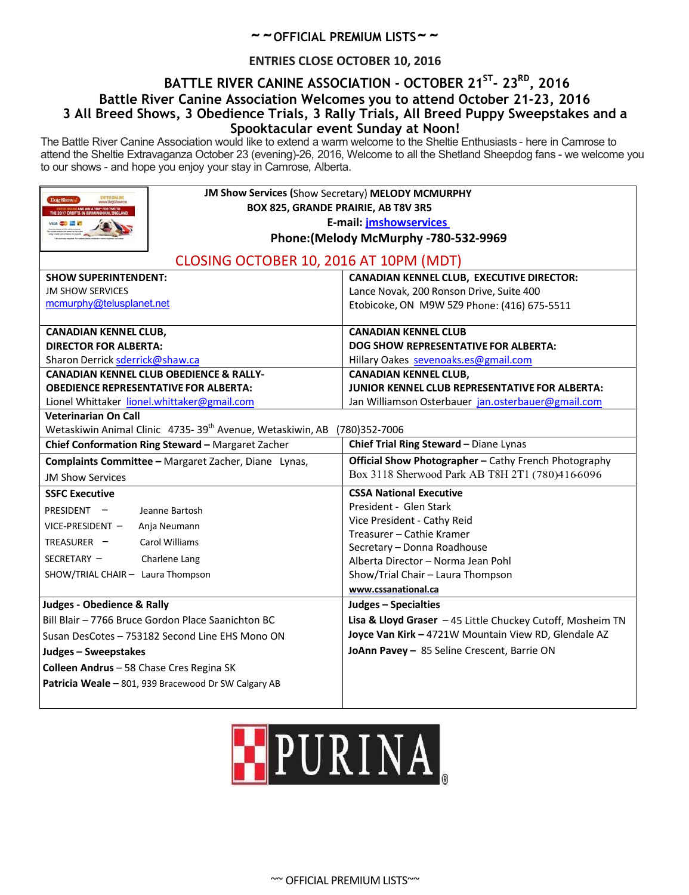## **ENTRIES CLOSE OCTOBER 10, 2016**

## **BATTLE RIVER CANINE ASSOCIATION - OCTOBER 21ST - 23RD , 2016 Battle River Canine Association Welcomes you to attend October 21-23, 2016 3 All Breed Shows, 3 Obedience Trials, 3 Rally Trials, All Breed Puppy Sweepstakes and a Spooktacular event Sunday at Noon!**

The Battle River Canine Association would like to extend a warm welcome to the Sheltie Enthusiasts - here in Camrose to attend the Sheltie Extravaganza October 23 (evening)-26, 2016, Welcome to all the Shetland Sheepdog fans - we welcome you to our shows - and hope you enjoy your stay in Camrose, Alberta.

| Dote Show a                                          | JM Show Services (Show Secretary) MELODY MCMURPHY                     |                                                             |  |  |  |  |
|------------------------------------------------------|-----------------------------------------------------------------------|-------------------------------------------------------------|--|--|--|--|
|                                                      | BOX 825, GRANDE PRAIRIE, AB T8V 3R5<br>E-mail: jmshowservices         |                                                             |  |  |  |  |
|                                                      |                                                                       |                                                             |  |  |  |  |
|                                                      | Phone: (Melody McMurphy - 780-532-9969                                |                                                             |  |  |  |  |
|                                                      | CLOSING OCTOBER 10, 2016 AT 10PM (MDT)                                |                                                             |  |  |  |  |
| <b>SHOW SUPERINTENDENT:</b>                          |                                                                       | <b>CANADIAN KENNEL CLUB, EXECUTIVE DIRECTOR:</b>            |  |  |  |  |
| <b>JM SHOW SERVICES</b>                              |                                                                       | Lance Novak, 200 Ronson Drive, Suite 400                    |  |  |  |  |
| mcmurphy@telusplanet.net                             |                                                                       | Etobicoke, ON M9W 5Z9 Phone: (416) 675-5511                 |  |  |  |  |
| <b>CANADIAN KENNEL CLUB,</b>                         |                                                                       | <b>CANADIAN KENNEL CLUB</b>                                 |  |  |  |  |
| <b>DIRECTOR FOR ALBERTA:</b>                         |                                                                       | <b>DOG SHOW REPRESENTATIVE FOR ALBERTA:</b>                 |  |  |  |  |
| Sharon Derrick sderrick@shaw.ca                      |                                                                       | Hillary Oakes sevenoaks.es@gmail.com                        |  |  |  |  |
|                                                      | <b>CANADIAN KENNEL CLUB OBEDIENCE &amp; RALLY-</b>                    | <b>CANADIAN KENNEL CLUB,</b>                                |  |  |  |  |
|                                                      | <b>OBEDIENCE REPRESENTATIVE FOR ALBERTA:</b>                          | <b>JUNIOR KENNEL CLUB REPRESENTATIVE FOR ALBERTA:</b>       |  |  |  |  |
|                                                      | Lionel Whittaker lionel.whittaker@gmail.com                           | Jan Williamson Osterbauer jan.osterbauer@gmail.com          |  |  |  |  |
| <b>Veterinarian On Call</b>                          |                                                                       |                                                             |  |  |  |  |
|                                                      | Wetaskiwin Animal Clinic 4735-39 <sup>th</sup> Avenue, Wetaskiwin, AB | (780)352-7006                                               |  |  |  |  |
| Chief Conformation Ring Steward - Margaret Zacher    |                                                                       | Chief Trial Ring Steward - Diane Lynas                      |  |  |  |  |
| Complaints Committee - Margaret Zacher, Diane Lynas, |                                                                       | Official Show Photographer - Cathy French Photography       |  |  |  |  |
| <b>JM Show Services</b>                              |                                                                       | Box 3118 Sherwood Park AB T8H 2T1 (780)4166096              |  |  |  |  |
| <b>SSFC Executive</b>                                |                                                                       | <b>CSSA National Executive</b>                              |  |  |  |  |
| PRESIDENT -                                          | Jeanne Bartosh                                                        | President - Glen Stark                                      |  |  |  |  |
| VICE-PRESIDENT -<br>Anja Neumann                     |                                                                       | Vice President - Cathy Reid                                 |  |  |  |  |
| TREASURER -                                          | Carol Williams                                                        | Treasurer - Cathie Kramer<br>Secretary - Donna Roadhouse    |  |  |  |  |
| SECRETARY -                                          | Charlene Lang                                                         | Alberta Director - Norma Jean Pohl                          |  |  |  |  |
| SHOW/TRIAL CHAIR- Laura Thompson                     |                                                                       | Show/Trial Chair - Laura Thompson                           |  |  |  |  |
|                                                      |                                                                       | www.cssanational.ca                                         |  |  |  |  |
| <b>Judges - Obedience &amp; Rally</b>                |                                                                       | Judges - Specialties                                        |  |  |  |  |
|                                                      | Bill Blair - 7766 Bruce Gordon Place Saanichton BC                    | Lisa & Lloyd Graser $-45$ Little Chuckey Cutoff, Mosheim TN |  |  |  |  |
|                                                      | Susan DesCotes - 753182 Second Line EHS Mono ON                       | Joyce Van Kirk - 4721W Mountain View RD, Glendale AZ        |  |  |  |  |
| Judges - Sweepstakes                                 |                                                                       | JoAnn Pavey - 85 Seline Crescent, Barrie ON                 |  |  |  |  |
| Colleen Andrus - 58 Chase Cres Regina SK             |                                                                       |                                                             |  |  |  |  |
| Patricia Weale - 801, 939 Bracewood Dr SW Calgary AB |                                                                       |                                                             |  |  |  |  |
|                                                      |                                                                       |                                                             |  |  |  |  |

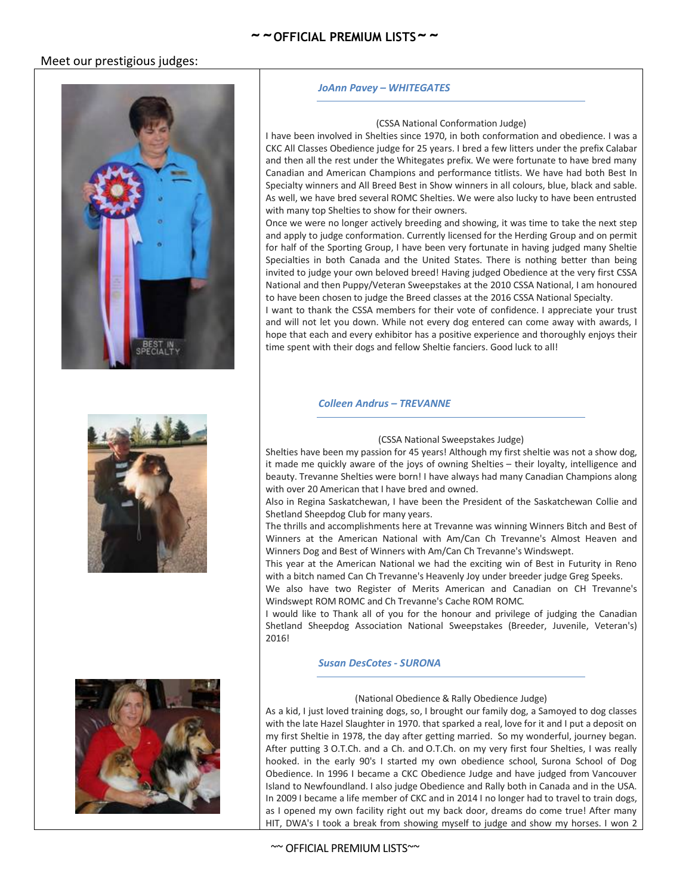## Meet our prestigious judges:



## **~~OFFICIAL PREMIUM LISTS~~**

#### *JoAnn Pavey – WHITEGATES*

#### (CSSA National Conformation Judge)

I have been involved in Shelties since 1970, in both conformation and obedience. I was a CKC All Classes Obedience judge for 25 years. I bred a few litters under the prefix Calabar and then all the rest under the Whitegates prefix. We were fortunate to have bred many Canadian and American Champions and performance titlists. We have had both Best In Specialty winners and All Breed Best in Show winners in all colours, blue, black and sable. As well, we have bred several ROMC Shelties. We were also lucky to have been entrusted with many top Shelties to show for their owners.

Once we were no longer actively breeding and showing, it was time to take the next step and apply to judge conformation. Currently licensed for the Herding Group and on permit for half of the Sporting Group, I have been very fortunate in having judged many Sheltie Specialties in both Canada and the United States. There is nothing better than being invited to judge your own beloved breed! Having judged Obedience at the very first CSSA National and then Puppy/Veteran Sweepstakes at the 2010 CSSA National, I am honoured to have been chosen to judge the Breed classes at the 2016 CSSA National Specialty.

I want to thank the CSSA members for their vote of confidence. I appreciate your trust and will not let you down. While not every dog entered can come away with awards, I hope that each and every exhibitor has a positive experience and thoroughly enjoys their time spent with their dogs and fellow Sheltie fanciers. Good luck to all!

#### *Colleen Andrus – TREVANNE*



#### (CSSA National Sweepstakes Judge)

Shelties have been my passion for 45 years! Although my first sheltie was not a show dog, it made me quickly aware of the joys of owning Shelties – their loyalty, intelligence and beauty. Trevanne Shelties were born! I have always had many Canadian Champions along with over 20 American that I have bred and owned.

Also in Regina Saskatchewan, I have been the President of the Saskatchewan Collie and Shetland Sheepdog Club for many years.

The thrills and accomplishments here at Trevanne was winning Winners Bitch and Best of Winners at the American National with Am/Can Ch Trevanne's Almost Heaven and Winners Dog and Best of Winners with Am/Can Ch Trevanne's Windswept.

This year at the American National we had the exciting win of Best in Futurity in Reno with a bitch named Can Ch Trevanne's Heavenly Joy under breeder judge Greg Speeks.

We also have two Register of Merits American and Canadian on CH Trevanne's Windswept ROM ROMC and Ch Trevanne's Cache ROM ROMC.

I would like to Thank all of you for the honour and privilege of judging the Canadian Shetland Sheepdog Association National Sweepstakes (Breeder, Juvenile, Veteran's) 2016!

#### *Susan DesCotes - SURONA*

#### (National Obedience & Rally Obedience Judge)

As a kid, I just loved training dogs, so, I brought our family dog, a Samoyed to dog classes with the late Hazel Slaughter in 1970. that sparked a real, love for it and I put a deposit on my first Sheltie in 1978, the day after getting married. So my wonderful, journey began. After putting 3 O.T.Ch. and a Ch. and O.T.Ch. on my very first four Shelties, I was really hooked. in the early 90's I started my own obedience school, Surona School of Dog Obedience. In 1996 I became a CKC Obedience Judge and have judged from Vancouver Island to Newfoundland. I also judge Obedience and Rally both in Canada and in the USA. In 2009 I became a life member of CKC and in 2014 I no longer had to travel to train dogs, as I opened my own facility right out my back door, dreams do come true! After many HIT, DWA's I took a break from showing myself to judge and show my horses. I won 2

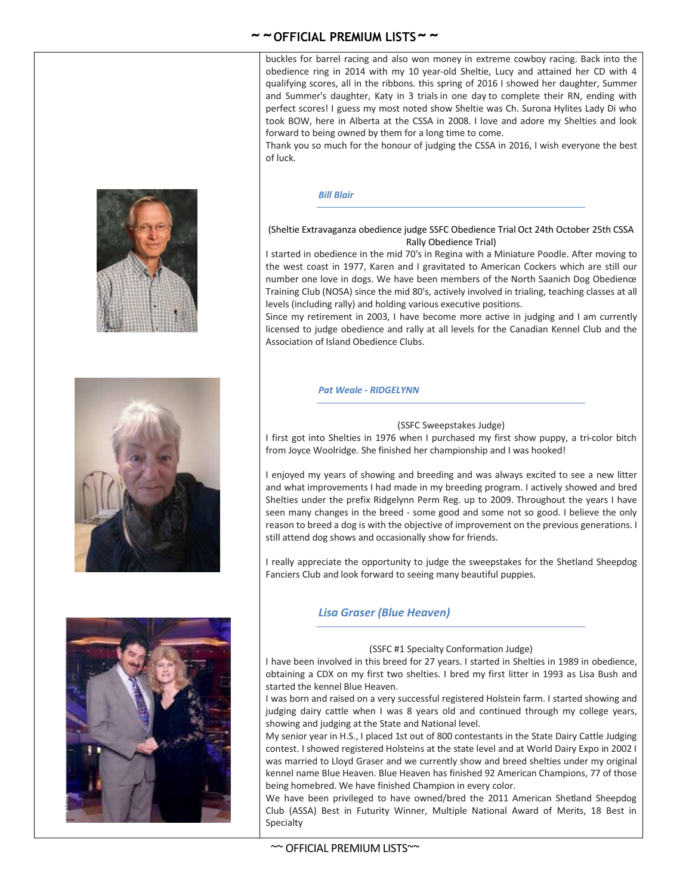buckles for barrel racing and also won money in extreme cowboy racing. Back into the obedience ring in 2014 with my 10 year-old Sheltie, Lucy and attained her CD with 4 qualifying scores, all in the ribbons. this spring of 2016 I showed her daughter, Summer and Summer's daughter, Katy in 3 trialsin one day to complete their RN, ending with perfect scores! I guess my most noted show Sheltie was Ch. Surona Hylites Lady Di who took BOW, here in Alberta at the CSSA in 2008. I love and adore my Shelties and look forward to being owned by them for a long time to come.

Thank you so much for the honour of judging the CSSA in 2016, I wish everyone the best of luck.

#### *Bill Blair*

#### (Sheltie Extravaganza obedience judge SSFC Obedience Trial Oct 24th October 25th CSSA Rally Obedience Trial)

I started in obedience in the mid 70's in Regina with a Miniature Poodle. After moving to the west coast in 1977, Karen and I gravitated to American Cockers which are still our number one love in dogs. We have been members of the North Saanich Dog Obedience Training Club (NOSA) since the mid 80's, actively involved in trialing, teaching classes at all levels (including rally) and holding various executive positions.

Since my retirement in 2003, I have become more active in judging and I am currently licensed to judge obedience and rally at all levels for the Canadian Kennel Club and the Association of Island Obedience Clubs.

#### *Pat Weale - RIDGELYNN*

#### (SSFC Sweepstakes Judge)

I first got into Shelties in 1976 when I purchased my first show puppy, a tri-color bitch from Joyce Woolridge. She finished her championship and I was hooked!

I enjoyed my years of showing and breeding and was always excited to see a new litter and what improvements I had made in my breeding program. I actively showed and bred Shelties under the prefix Ridgelynn Perm Reg. up to 2009. Throughout the years I have seen many changes in the breed - some good and some not so good. I believe the only reason to breed a dog is with the objective of improvement on the previous generations. I still attend dog shows and occasionally show for friends.

I really appreciate the opportunity to judge the sweepstakes for the Shetland Sheepdog Fanciers Club and look forward to seeing many beautiful puppies.

#### *Lisa Graser (Blue Heaven)*

#### (SSFC #1 Specialty Conformation Judge)

I have been involved in this breed for 27 years. I started in Shelties in 1989 in obedience, obtaining a CDX on my first two shelties. I bred my first litter in 1993 as Lisa Bush and started the kennel Blue Heaven.

I was born and raised on a very successful registered Holstein farm. I started showing and judging dairy cattle when I was 8 years old and continued through my college years, showing and judging at the State and National level.

My senior year in H.S., I placed 1st out of 800 contestants in the State Dairy Cattle Judging contest. I showed registered Holsteins at the state level and at World Dairy Expo in 2002 I was married to Lloyd Graser and we currently show and breed shelties under my original kennel name Blue Heaven. Blue Heaven has finished 92 American Champions, 77 of those being homebred. We have finished Champion in every color.

We have been privileged to have owned/bred the 2011 American Shetland Sheepdog Club (ASSA) Best in Futurity Winner, Multiple National Award of Merits, 18 Best in **Specialty** 





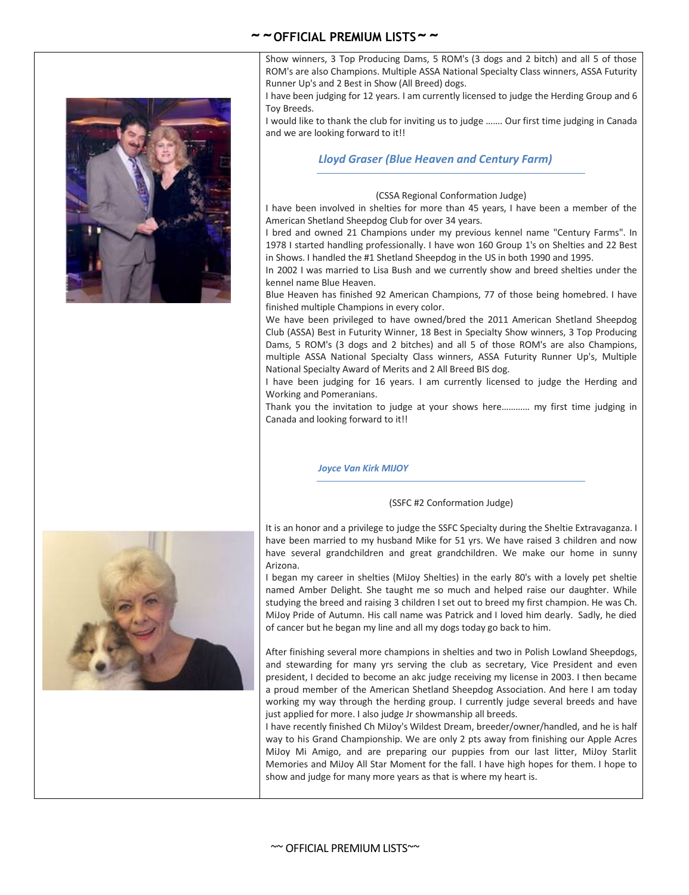Show winners, 3 Top Producing Dams, 5 ROM's (3 dogs and 2 bitch) and all 5 of those ROM's are also Champions. Multiple ASSA National Specialty Class winners, ASSA Futurity Runner Up's and 2 Best in Show (All Breed) dogs.

I have been judging for 12 years. I am currently licensed to judge the Herding Group and 6 Toy Breeds.

I would like to thank the club for inviting us to judge ……. Our first time judging in Canada and we are looking forward to it!!

#### *Lloyd Graser (Blue Heaven and Century Farm)*

#### (CSSA Regional Conformation Judge)

I have been involved in shelties for more than 45 years, I have been a member of the American Shetland Sheepdog Club for over 34 years.

I bred and owned 21 Champions under my previous kennel name "Century Farms". In 1978 I started handling professionally. I have won 160 Group 1's on Shelties and 22 Best in Shows. I handled the #1 Shetland Sheepdog in the US in both 1990 and 1995.

In 2002 I was married to Lisa Bush and we currently show and breed shelties under the kennel name Blue Heaven.

Blue Heaven has finished 92 American Champions, 77 of those being homebred. I have finished multiple Champions in every color.

We have been privileged to have owned/bred the 2011 American Shetland Sheepdog Club (ASSA) Best in Futurity Winner, 18 Best in Specialty Show winners, 3 Top Producing Dams, 5 ROM's (3 dogs and 2 bitches) and all 5 of those ROM's are also Champions, multiple ASSA National Specialty Class winners, ASSA Futurity Runner Up's, Multiple National Specialty Award of Merits and 2 All Breed BIS dog.

I have been judging for 16 years. I am currently licensed to judge the Herding and Working and Pomeranians.

Thank you the invitation to judge at your shows here………… my first time judging in Canada and looking forward to it!!

*Joyce Van Kirk MIJOY*

#### (SSFC #2 Conformation Judge)

It is an honor and a privilege to judge the SSFC Specialty during the Sheltie Extravaganza. I have been married to my husband Mike for 51 yrs. We have raised 3 children and now have several grandchildren and great grandchildren. We make our home in sunny Arizona.

I began my career in shelties (MiJoy Shelties) in the early 80's with a lovely pet sheltie named Amber Delight. She taught me so much and helped raise our daughter. While studying the breed and raising 3 children I set out to breed my first champion. He was Ch. MiJoy Pride of Autumn. His call name was Patrick and I loved him dearly. Sadly, he died of cancer but he began my line and all my dogs today go back to him.

After finishing several more champions in shelties and two in Polish Lowland Sheepdogs, and stewarding for many yrs serving the club as secretary, Vice President and even president, I decided to become an akc judge receiving my license in 2003. I then became a proud member of the American Shetland Sheepdog Association. And here I am today working my way through the herding group. I currently judge several breeds and have just applied for more. I also judge Jr showmanship all breeds.

I have recently finished Ch MiJoy's Wildest Dream, breeder/owner/handled, and he is half way to his Grand Championship. We are only 2 pts away from finishing our Apple Acres MiJoy Mi Amigo, and are preparing our puppies from our last litter, MiJoy Starlit Memories and MiJoy All Star Moment for the fall. I have high hopes for them. I hope to show and judge for many more years as that is where my heart is.

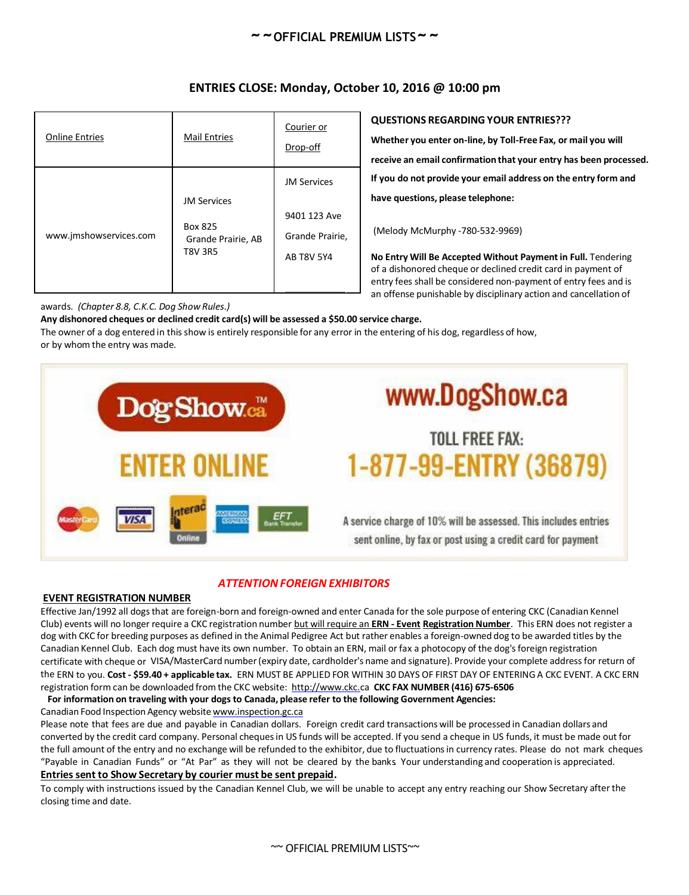| <b>Online Entries</b>  | <b>Mail Entries</b>                                                   | Courier or<br>Drop-off                                                     |
|------------------------|-----------------------------------------------------------------------|----------------------------------------------------------------------------|
| www.jmshowservices.com | <b>JM Services</b><br>Box 825<br>Grande Prairie, AB<br><b>T8V 3R5</b> | <b>JM Services</b><br>9401 123 Ave<br>Grande Prairie,<br><b>AB T8V 5Y4</b> |

## **ENTRIES CLOSE: Monday, October 10, 2016 @ 10:00 pm**

awards. *(Chapter 8.8, C.K.C. Dog Show Rules.)*

**Any dishonored cheques or declined credit card(s) will be assessed a \$50.00 service charge.**

The owner of a dog entered in this show is entirely responsible for any error in the entering of his dog, regardless of how, or by whom the entry was made.

# www.DogShow.ca Dog Show. TOLL FREE FAX: 1-877-99-ENTRY (36879) ENTER ONLINE

A service charge of 10% will be assessed. This includes entries sent online, by fax or post using a credit card for payment

**QUESTIONS REGARDING YOUR ENTRIES???**

**have questions, please telephone:**

(Melody McMurphy -780-532-9969)

**Whether you enter on-line, by Toll-Free Fax, or mail you will**

**receive an email confirmation that your entry has been processed. If you do not provide your email address on the entry form and**

**No Entry Will Be Accepted Without Payment in Full.** Tendering of a dishonored cheque or declined credit card in payment of entry fees shall be considered non-payment of entry fees and is an offense punishable by disciplinary action and cancellation of

## *ATTENTIONFOREIGN EXHIBITORS*

#### **EVENT REGISTRATION NUMBER**

**VISA** 

Effective Jan/1992 all dogs that are foreign-born and foreign-owned and enter Canada for the sole purpose of entering CKC (Canadian Kennel Club) events will no longer require a CKC registration number but will require an **ERN - Event Registration Number**. This ERN does not register a dog with CKC for breeding purposes as defined in the Animal Pedigree Act but rather enables a foreign-owned dog to be awarded titles by the Canadian Kennel Club. Each dog must have its own number. To obtain an ERN, mail or fax a photocopy of the dog'sforeign registration certificate with cheque or VISA/MasterCard number (expiry date, cardholder's name and signature). Provide your complete address for return of the ERN to you. **Cost - \$59.40 + applicable tax.** ERN MUST BE APPLIED FOR WITHIN 30 DAYS OF FIRST DAY OF ENTERING A CKC EVENT. A CKC ERN registration form can be downloaded from the CKC website: http://www.ckc.ca **CKC FAX NUMBER (416) 675-6506**

**For information on traveling with your dogs to Canada, please refer to the following Government Agencies:**

Canadian Food Inspection Agency website www.inspection.gc.ca

**D** 

Please note that fees are due and payable in Canadian dollars. Foreign credit card transactions will be processed in Canadian dollars and converted by the credit card company. Personal chequesin US funds will be accepted. If you send a cheque in US funds, it must be made out for the full amount of the entry and no exchange will be refunded to the exhibitor, due to fluctuationsin currency rates. Please do not mark cheques "Payable in Canadian Funds" or "At Par" as they will not be cleared by the banks Your understanding and cooperation is appreciated. **Entriessent to Show Secretary by courier must be sent prepaid.**

To comply with instructions issued by the Canadian Kennel Club, we will be unable to accept any entry reaching our Show Secretary after the closing time and date.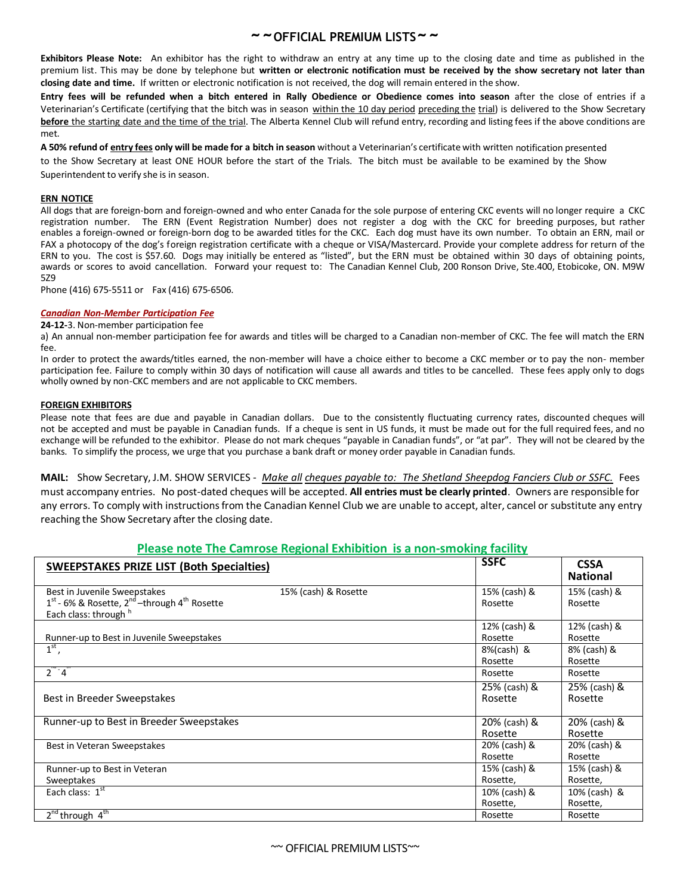**Exhibitors Please Note:** An exhibitor has the right to withdraw an entry at any time up to the closing date and time as published in the premium list. This may be done by telephone but **written or electronic notification must be received by the show secretary not later than closing date and time.** If written or electronic notification is not received, the dog will remain entered in the show.

**Entry fees will be refunded when a bitch entered in Rally Obedience or Obedience comes into season** after the close of entries if a Veterinarian's Certificate (certifying that the bitch was in season within the 10 day period preceding the trial) is delivered to the Show Secretary **before** the starting date and the time of the trial. The Alberta Kennel Club will refund entry, recording and listing fees if the above conditions are met.

**A 50% refund of entry fees only will be made for a bitch in season** without a Veterinarian's certificate with written notification presented to the Show Secretary at least ONE HOUR before the start of the Trials. The bitch must be available to be examined by the Show

Superintendent to verify she is in season.

#### **ERN NOTICE**

All dogs that are foreign-born and foreign-owned and who enter Canada for the sole purpose of entering CKC events will no longer require a CKC registration number. The ERN (Event Registration Number) does not register a dog with the CKC for breeding purposes, but rather enables a foreign-owned or foreign-born dog to be awarded titles for the CKC. Each dog must have its own number. To obtain an ERN, mail or FAX a photocopy of the dog's foreign registration certificate with a cheque or VISA/Mastercard. Provide your complete address for return of the ERN to you. The cost is \$57.60. Dogs may initially be entered as "listed", but the ERN must be obtained within 30 days of obtaining points, awards or scores to avoid cancellation. Forward your request to: The Canadian Kennel Club, 200 Ronson Drive, Ste.400, Etobicoke, ON. M9W 5Z9

Phone (416) 675-5511 or Fax (416) 675-6506.

#### *Canadian Non-Member Participation Fee*

#### **24-12-**3. Non-member participation fee

a) An annual non-member participation fee for awards and titles will be charged to a Canadian non-member of CKC. The fee will match the ERN fee.

In order to protect the awards/titles earned, the non-member will have a choice either to become a CKC member or to pay the non- member participation fee. Failure to comply within 30 days of notification will cause all awards and titles to be cancelled. These fees apply only to dogs wholly owned by non-CKC members and are not applicable to CKC members.

#### **FOREIGN EXHIBITORS**

Please note that fees are due and payable in Canadian dollars. Due to the consistently fluctuating currency rates, discounted cheques will not be accepted and must be payable in Canadian funds. If a cheque is sent in US funds, it must be made out for the full required fees, and no exchange will be refunded to the exhibitor. Please do not mark cheques "payable in Canadian funds", or "at par". They will not be cleared by the banks. To simplify the process, we urge that you purchase a bank draft or money order payable in Canadian funds.

**MAIL:** Show Secretary, J.M. SHOW SERVICES - *Make all cheques payable to: The Shetland Sheepdog Fanciers Club or SSFC.* Fees must accompany entries. No post-dated cheques will be accepted. **All entries must be clearly printed**. Owners are responsible for any errors. To comply with instructions from the Canadian Kennel Club we are unable to accept, alter, cancel or substitute any entry reaching the Show Secretary after the closing date.

#### **Please note The Camrose Regional Exhibition is a non-smoking facility**

| <b>SWEEPSTAKES PRIZE LIST (Both Specialties)</b>                       |                      | <b>SSFC</b>  | <b>CSSA</b><br><b>National</b> |
|------------------------------------------------------------------------|----------------------|--------------|--------------------------------|
| Best in Juvenile Sweepstakes                                           | 15% (cash) & Rosette | 15% (cash) & | 15% (cash) &                   |
| $1st$ - 6% & Rosette, 2 <sup>nd</sup> –through 4 <sup>th</sup> Rosette |                      | Rosette      | Rosette                        |
| Each class: through h                                                  |                      |              |                                |
|                                                                        |                      | 12% (cash) & | 12% (cash) &                   |
| Runner-up to Best in Juvenile Sweepstakes                              |                      | Rosette      | Rosette                        |
| $1st$ ,                                                                |                      | 8%(cash) &   | 8% (cash) &                    |
|                                                                        |                      | Rosette      | Rosette                        |
| $2^{\degree}$ 4 $^{\degree}$                                           |                      | Rosette      | Rosette                        |
|                                                                        |                      | 25% (cash) & | 25% (cash) &                   |
| Best in Breeder Sweepstakes                                            |                      | Rosette      | Rosette                        |
|                                                                        |                      |              |                                |
| Runner-up to Best in Breeder Sweepstakes                               |                      | 20% (cash) & | 20% (cash) &                   |
|                                                                        |                      | Rosette      | Rosette                        |
| Best in Veteran Sweepstakes                                            |                      | 20% (cash) & | 20% (cash) &                   |
|                                                                        |                      | Rosette      | Rosette                        |
| Runner-up to Best in Veteran                                           |                      | 15% (cash) & | 15% (cash) &                   |
| Sweeptakes                                                             |                      | Rosette,     | Rosette,                       |
| Each class: $1st$                                                      |                      | 10% (cash) & | 10% (cash) &                   |
|                                                                        |                      | Rosette,     | Rosette,                       |
| $2^{nd}$ through $4^{th}$                                              |                      | Rosette      | Rosette                        |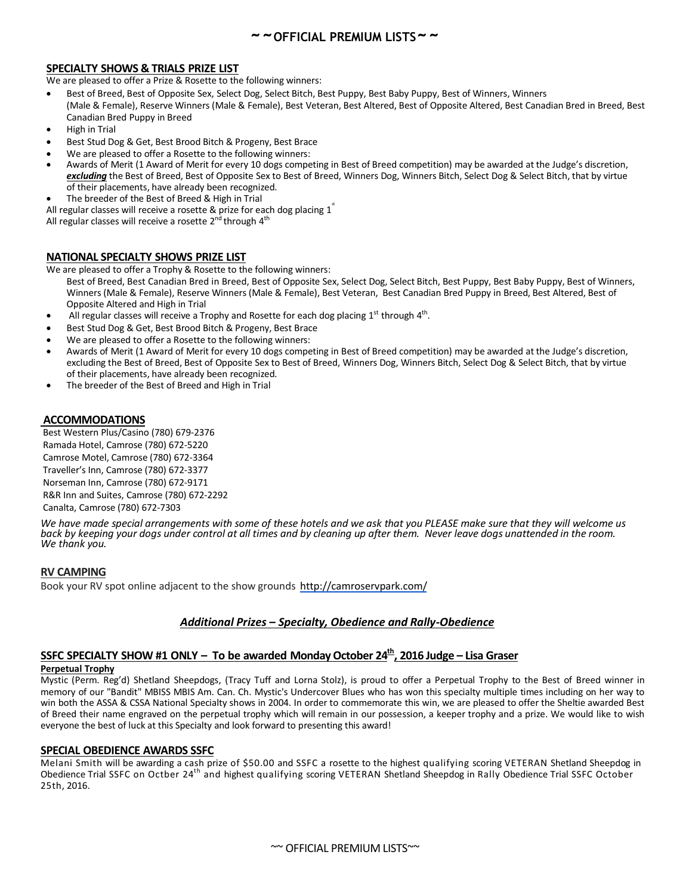#### **SPECIALTY SHOWS & TRIALS PRIZE LIST**

We are pleased to offer a Prize & Rosette to the following winners:

- Best of Breed, Best of Opposite Sex, Select Dog, Select Bitch, Best Puppy, Best Baby Puppy, Best of Winners, Winners (Male & Female), Reserve Winners (Male & Female), Best Veteran, Best Altered, Best of Opposite Altered, Best Canadian Bred in Breed, Best Canadian Bred Puppy in Breed
- High in Trial
- Best Stud Dog & Get, Best Brood Bitch & Progeny, Best Brace
- We are pleased to offer a Rosette to the following winners:
- Awards of Merit (1 Award of Merit for every 10 dogs competing in Best of Breed competition) may be awarded at the Judge's discretion, *excluding* the Best of Breed, Best of Opposite Sex to Best of Breed, Winners Dog, Winners Bitch, Select Dog & Select Bitch, that by virtue of their placements, have already been recognized.
- The breeder of the Best of Breed & High in Trial

All regular classes will receive a rosette & prize for each dog placing  $1^{\degree}$ All regular classes will receive a rosette 2<sup>nd</sup> through 4<sup>th</sup>

#### **NATIONAL SPECIALTY SHOWS PRIZE LIST**

We are pleased to offer a Trophy & Rosette to the following winners:

- Best of Breed, Best Canadian Bred in Breed, Best of Opposite Sex, Select Dog, Select Bitch, Best Puppy, Best Baby Puppy, Best of Winners, Winners (Male & Female), Reserve Winners (Male & Female), Best Veteran, Best Canadian Bred Puppy in Breed, Best Altered, Best of Opposite Altered and High in Trial
- All regular classes will receive a Trophy and Rosette for each dog placing  $1^{st}$  through  $4^{th}$ .
- Best Stud Dog & Get, Best Brood Bitch & Progeny, Best Brace
- We are pleased to offer a Rosette to the following winners:
- Awards of Merit (1 Award of Merit for every 10 dogs competing in Best of Breed competition) may be awarded at the Judge's discretion, excluding the Best of Breed, Best of Opposite Sex to Best of Breed, Winners Dog, Winners Bitch, Select Dog & Select Bitch, that by virtue of their placements, have already been recognized.
- The breeder of the Best of Breed and High in Trial

#### **ACCOMMODATIONS**

Best Western Plus/Casino (780) 679-2376 Ramada Hotel, Camrose (780) 672-5220 Camrose Motel, Camrose (780) 672-3364 Traveller's Inn, Camrose (780) 672-3377 Norseman Inn, Camrose (780) 672-9171 R&R Inn and Suites, Camrose (780) 672-2292 Canalta, Camrose (780) 672-7303

*We have made special arrangements with some of these hotels and we ask that you PLEASE make sure that they will welcome us back by keeping your dogs under control at all times and by cleaning up after them. Never leave dogs unattended in the room. We thank you.*

#### **RV CAMPING**

Book your RV spot online adjacent to the show grounds http://camroservpark.com/

#### *Additional Prizes – Specialty, Obedience and Rally-Obedience*

## **SSFC SPECIALTY SHOW #1 ONLY – To be awarded Monday October 24th , 2016 Judge – Lisa Graser**

#### **Perpetual Trophy**

Mystic (Perm. Reg'd) Shetland Sheepdogs, (Tracy Tuff and Lorna Stolz), is proud to offer a Perpetual Trophy to the Best of Breed winner in memory of our "Bandit" MBISS MBIS Am. Can. Ch. Mystic's Undercover Blues who has won this specialty multiple times including on her way to win both the ASSA & CSSA National Specialty shows in 2004. In order to commemorate this win, we are pleased to offer the Sheltie awarded Best of Breed their name engraved on the perpetual trophy which will remain in our possession, a keeper trophy and a prize. We would like to wish everyone the best of luck at this Specialty and look forward to presenting this award!

#### **SPECIAL OBEDIENCE AWARDS SSFC**

Melani Smith will be awarding a cash prize of \$50.00 and SSFC a rosette to the highest qualifying scoring VETERAN Shetland Sheepdog in Obedience Trial SSFC on Octber 24<sup>th</sup> and highest qualifying scoring VETERAN Shetland Sheepdog in Rally Obedience Trial SSFC October 25th, 2016.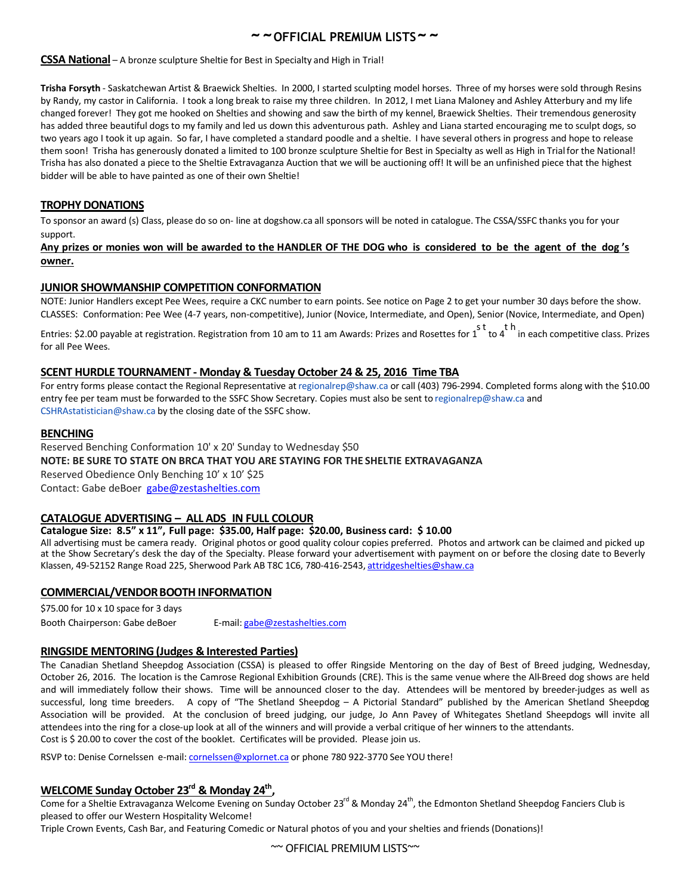#### **CSSA National** – A bronze sculpture Sheltie for Best in Specialty and High in Trial!

**Trisha Forsyth** - Saskatchewan Artist & Braewick Shelties. In 2000, I started sculpting model horses. Three of my horses were sold through Resins by Randy, my castor in California. I took a long break to raise my three children. In 2012, I met Liana Maloney and Ashley Atterbury and my life changed forever! They got me hooked on Shelties and showing and saw the birth of my kennel, Braewick Shelties. Their tremendous generosity has added three beautiful dogs to my family and led us down this adventurous path. Ashley and Liana started encouraging me to sculpt dogs, so two years ago I took it up again. So far, I have completed a standard poodle and a sheltie. I have several others in progress and hope to release them soon! Trisha has generously donated a limited to 100 bronze sculpture Sheltie for Best in Specialty as well as High in Trial for the National! Trisha has also donated a piece to the Sheltie Extravaganza Auction that we will be auctioning off! It will be an unfinished piece that the highest bidder will be able to have painted as one of their own Sheltie!

#### **TROPHY DONATIONS**

To sponsor an award (s) Class, please do so on- line at dogshow.ca all sponsors will be noted in catalogue. The CSSA/SSFC thanks you for your support.

#### **Any prizes or monies won will be awarded to the HANDLER OF THE DOG who is considered to be the agent of the dog 's owner.**

#### **JUNIOR SHOWMANSHIP COMPETITION CONFORMATION**

NOTE: Junior Handlers except Pee Wees, require a CKC number to earn points. See notice on Page 2 to get your number 30 days before the show. CLASSES: Conformation: Pee Wee (4-7 years, non-competitive), Junior (Novice, Intermediate, and Open), Senior (Novice, Intermediate, and Open)

st th<br>Entries: \$2.00 payable at registration. Registration from 10 am to 11 am Awards: Prizes and Rosettes for 1 to 4 in each competitive class. Prizes for all Pee Wees.

#### **SCENT HURDLE TOURNAMENT - Monday & Tuesday October 24 & 25, 2016 Time TBA**

For entry forms please contact the Regional Representative at regionalrep@shaw.ca or call (403) 796-2994. Completed forms along with the \$10.00 entry fee per team must be forwarded to the SSFC Show Secretary. Copies must also be sent to regionalrep@shaw.ca and CSHRAstatistician@shaw.ca by the closing date of the SSFC show.

#### **BENCHING**

Reserved Benching Conformation 10' x 20' Sunday to Wednesday \$50 **NOTE: BE SURE TO STATE ON BRCA THAT YOU ARE STAYING FOR THE SHELTIE EXTRAVAGANZA** Reserved Obedience Only Benching 10' x 10' \$25

Contact: Gabe deBoer gabe@zestashelties.com

#### **CATALOGUE ADVERTISING – ALL ADS IN FULL COLOUR**

#### **Catalogue Size: 8.5" x 11", Full page: \$35.00, Half page: \$20.00, Business card: \$ 10.00**

All advertising must be camera ready. Original photos or good quality colour copies preferred. Photos and artwork can be claimed and picked up at the Show Secretary's desk the day of the Specialty. Please forward your advertisement with payment on or before the closing date to Beverly Klassen, 49-52152 Range Road 225, Sherwood Park AB T8C 1C6, 780-416-2543, attridgeshelties@shaw.ca

#### **COMMERCIAL/VENDORBOOTHINFORMATION**

\$75.00 for 10 x 10 space for 3 days Booth Chairperson: Gabe deBoer E-mail: gabe@zestashelties.com

#### **RINGSIDE MENTORING (Judges & Interested Parties)**

The Canadian Shetland Sheepdog Association (CSSA) is pleased to offer Ringside Mentoring on the day of Best of Breed judging, Wednesday, October 26, 2016. The location is the Camrose Regional Exhibition Grounds (CRE). This is the same venue where the All-Breed dog shows are held and will immediately follow their shows. Time will be announced closer to the day. Attendees will be mentored by breeder-judges as well as successful, long time breeders. A copy of "The Shetland Sheepdog – A Pictorial Standard" published by the American Shetland Sheepdog Association will be provided. At the conclusion of breed judging, our judge, Jo Ann Pavey of Whitegates Shetland Sheepdogs will invite all attendees into the ring for a close-up look at all of the winners and will provide a verbal critique of her winners to the attendants. Cost is \$ 20.00 to cover the cost of the booklet. Certificates will be provided. Please join us.

RSVP to: Denise Cornelssen e-mail: cornelssen@xplornet.ca or phone 780 922-3770 See YOU there!

## **WELCOME Sunday October 23rd & Monday 24th ,**

Come for a Sheltie Extravaganza Welcome Evening on Sunday October 23<sup>rd</sup> & Monday 24<sup>th</sup>, the Edmonton Shetland Sheepdog Fanciers Club is pleased to offer our Western Hospitality Welcome!

Triple Crown Events, Cash Bar, and Featuring Comedic or Natural photos of you and your shelties and friends (Donations)!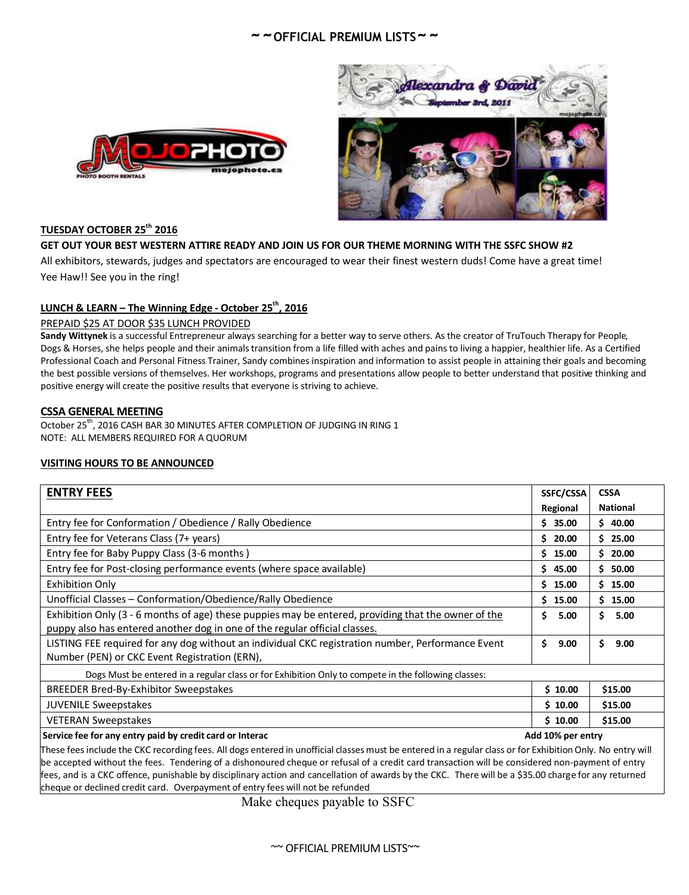



## **TUESDAY OCTOBER 25th 2016**

#### **GET OUT YOUR BEST WESTERN ATTIRE READY AND JOIN US FOR OUR THEME MORNING WITH THE SSFC SHOW #2**

All exhibitors, stewards, judges and spectators are encouraged to wear their finest western duds! Come have a great time! Yee Haw!! See you in the ring!

### **LUNCH & LEARN – The Winning Edge - October 25th , 2016**

#### PREPAID \$25 AT DOOR \$35 LUNCH PROVIDED

**Sandy Wittynek** is a successful Entrepreneur always searching for a better way to serve others. As the creator of TruTouch Therapy for People, Dogs & Horses, she helps people and their animalstransition from a life filled with aches and pains to living a happier, healthier life. As a Certified Professional Coach and Personal Fitness Trainer, Sandy combines inspiration and information to assist people in attaining their goals and becoming the best possible versions of themselves. Her workshops, programs and presentations allow people to better understand that positive thinking and positive energy will create the positive results that everyone is striving to achieve.

#### **CSSA GENERAL MEETING**

October 25<sup>th</sup>, 2016 CASH BAR 30 MINUTES AFTER COMPLETION OF JUDGING IN RING 1 NOTE: ALL MEMBERS REQUIRED FOR A QUORUM

#### **VISITING HOURS TO BE ANNOUNCED**

| <b>ENTRY FEES</b>                                                                                   | SSFC/CSSA         | <b>CSSA</b>     |
|-----------------------------------------------------------------------------------------------------|-------------------|-----------------|
|                                                                                                     | Regional          | <b>National</b> |
| Entry fee for Conformation / Obedience / Rally Obedience                                            | \$35.00           | \$40.00         |
| Entry fee for Veterans Class (7+ years)                                                             | \$20.00           | \$25.00         |
| Entry fee for Baby Puppy Class (3-6 months)                                                         | \$15.00           | \$20.00         |
| Entry fee for Post-closing performance events (where space available)                               | \$45.00           | \$50.00         |
| <b>Exhibition Only</b>                                                                              | 15.00<br>Ś.       | 15.00<br>S.     |
| Unofficial Classes - Conformation/Obedience/Rally Obedience                                         | 15.00<br>Ś.       | \$15.00         |
| Exhibition Only (3 - 6 months of age) these puppies may be entered, providing that the owner of the | Ś.<br>5.00        | 5.00<br>Ś.      |
| puppy also has entered another dog in one of the regular official classes.                          |                   |                 |
| LISTING FEE required for any dog without an individual CKC registration number, Performance Event   | \$<br>9.00        | 9.00<br>S       |
| Number (PEN) or CKC Event Registration (ERN),                                                       |                   |                 |
| Dogs Must be entered in a regular class or for Exhibition Only to compete in the following classes: |                   |                 |
| BREEDER Bred-By-Exhibitor Sweepstakes                                                               | \$10.00           | \$15.00         |
| <b>JUVENILE Sweepstakes</b>                                                                         | \$10.00           | \$15.00         |
| <b>VETERAN Sweepstakes</b>                                                                          | \$10.00           | \$15.00         |
| Service fee for any entry paid by credit card or Interac                                            | Add 10% per entry |                 |

These fees include the CKC recording fees. All dogs entered in unofficial classes must be entered in a regular class or for Exhibition Only. No entry will be accepted without the fees. Tendering of a dishonoured cheque or refusal of a credit card transaction will be considered non-payment of entry fees, and is a CKC offence, punishable by disciplinary action and cancellation of awards by the CKC. There will be a \$35.00 charge for any returned cheque or declined credit card. Overpayment of entry fees will not be refunded

Make cheques payable to SSFC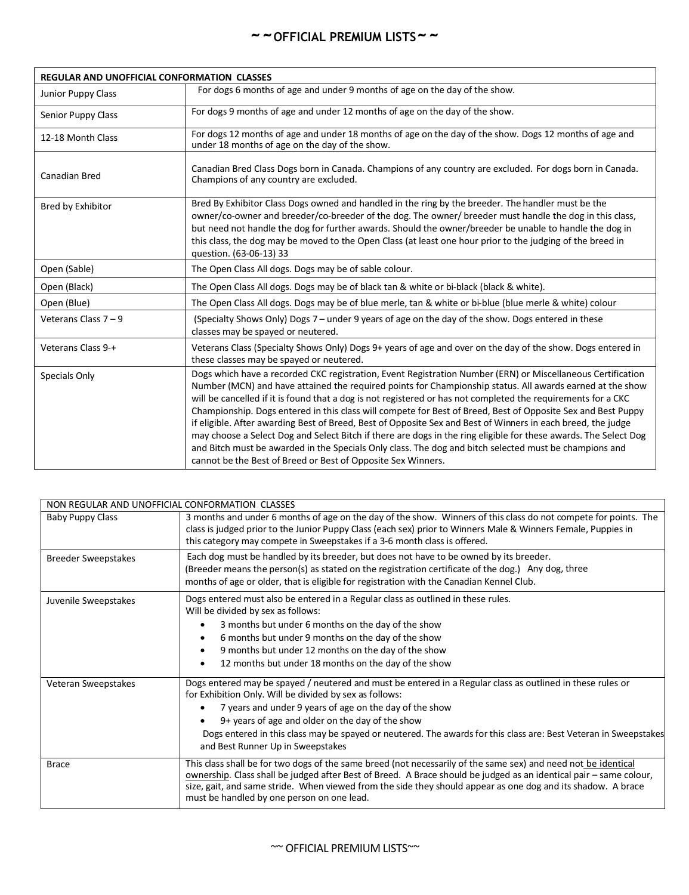| <b>REGULAR AND UNOFFICIAL CONFORMATION CLASSES</b> |                                                                                                                                                                                                                                                                                                                                                                                                                                                                                                                                                                                                                                                                                                                                                                                                                                                                         |
|----------------------------------------------------|-------------------------------------------------------------------------------------------------------------------------------------------------------------------------------------------------------------------------------------------------------------------------------------------------------------------------------------------------------------------------------------------------------------------------------------------------------------------------------------------------------------------------------------------------------------------------------------------------------------------------------------------------------------------------------------------------------------------------------------------------------------------------------------------------------------------------------------------------------------------------|
| Junior Puppy Class                                 | For dogs 6 months of age and under 9 months of age on the day of the show.                                                                                                                                                                                                                                                                                                                                                                                                                                                                                                                                                                                                                                                                                                                                                                                              |
| Senior Puppy Class                                 | For dogs 9 months of age and under 12 months of age on the day of the show.                                                                                                                                                                                                                                                                                                                                                                                                                                                                                                                                                                                                                                                                                                                                                                                             |
| 12-18 Month Class                                  | For dogs 12 months of age and under 18 months of age on the day of the show. Dogs 12 months of age and<br>under 18 months of age on the day of the show.                                                                                                                                                                                                                                                                                                                                                                                                                                                                                                                                                                                                                                                                                                                |
| <b>Canadian Bred</b>                               | Canadian Bred Class Dogs born in Canada. Champions of any country are excluded. For dogs born in Canada.<br>Champions of any country are excluded.                                                                                                                                                                                                                                                                                                                                                                                                                                                                                                                                                                                                                                                                                                                      |
| Bred by Exhibitor                                  | Bred By Exhibitor Class Dogs owned and handled in the ring by the breeder. The handler must be the<br>owner/co-owner and breeder/co-breeder of the dog. The owner/ breeder must handle the dog in this class,<br>but need not handle the dog for further awards. Should the owner/breeder be unable to handle the dog in<br>this class, the dog may be moved to the Open Class (at least one hour prior to the judging of the breed in<br>question. (63-06-13) 33                                                                                                                                                                                                                                                                                                                                                                                                       |
| Open (Sable)                                       | The Open Class All dogs. Dogs may be of sable colour.                                                                                                                                                                                                                                                                                                                                                                                                                                                                                                                                                                                                                                                                                                                                                                                                                   |
| Open (Black)                                       | The Open Class All dogs. Dogs may be of black tan & white or bi-black (black & white).                                                                                                                                                                                                                                                                                                                                                                                                                                                                                                                                                                                                                                                                                                                                                                                  |
| Open (Blue)                                        | The Open Class All dogs. Dogs may be of blue merle, tan & white or bi-blue (blue merle & white) colour                                                                                                                                                                                                                                                                                                                                                                                                                                                                                                                                                                                                                                                                                                                                                                  |
| Veterans Class $7 - 9$                             | (Specialty Shows Only) Dogs 7 - under 9 years of age on the day of the show. Dogs entered in these<br>classes may be spayed or neutered.                                                                                                                                                                                                                                                                                                                                                                                                                                                                                                                                                                                                                                                                                                                                |
| Veterans Class 9-+                                 | Veterans Class (Specialty Shows Only) Dogs 9+ years of age and over on the day of the show. Dogs entered in<br>these classes may be spayed or neutered.                                                                                                                                                                                                                                                                                                                                                                                                                                                                                                                                                                                                                                                                                                                 |
| Specials Only                                      | Dogs which have a recorded CKC registration, Event Registration Number (ERN) or Miscellaneous Certification<br>Number (MCN) and have attained the required points for Championship status. All awards earned at the show<br>will be cancelled if it is found that a dog is not registered or has not completed the requirements for a CKC<br>Championship. Dogs entered in this class will compete for Best of Breed, Best of Opposite Sex and Best Puppy<br>if eligible. After awarding Best of Breed, Best of Opposite Sex and Best of Winners in each breed, the judge<br>may choose a Select Dog and Select Bitch if there are dogs in the ring eligible for these awards. The Select Dog<br>and Bitch must be awarded in the Specials Only class. The dog and bitch selected must be champions and<br>cannot be the Best of Breed or Best of Opposite Sex Winners. |

| NON REGULAR AND UNOFFICIAL CONFORMATION CLASSES |                                                                                                                                                                                                                                                                                                                                                                                                                                                              |
|-------------------------------------------------|--------------------------------------------------------------------------------------------------------------------------------------------------------------------------------------------------------------------------------------------------------------------------------------------------------------------------------------------------------------------------------------------------------------------------------------------------------------|
| <b>Baby Puppy Class</b>                         | 3 months and under 6 months of age on the day of the show. Winners of this class do not compete for points. The<br>class is judged prior to the Junior Puppy Class (each sex) prior to Winners Male & Winners Female, Puppies in<br>this category may compete in Sweepstakes if a 3-6 month class is offered.                                                                                                                                                |
| <b>Breeder Sweepstakes</b>                      | Each dog must be handled by its breeder, but does not have to be owned by its breeder.<br>(Breeder means the person(s) as stated on the registration certificate of the dog.) Any dog, three<br>months of age or older, that is eligible for registration with the Canadian Kennel Club.                                                                                                                                                                     |
| Juvenile Sweepstakes                            | Dogs entered must also be entered in a Regular class as outlined in these rules.<br>Will be divided by sex as follows:<br>3 months but under 6 months on the day of the show<br>$\bullet$<br>6 months but under 9 months on the day of the show<br>$\bullet$<br>9 months but under 12 months on the day of the show<br>$\bullet$<br>12 months but under 18 months on the day of the show<br>$\bullet$                                                        |
| Veteran Sweepstakes                             | Dogs entered may be spayed / neutered and must be entered in a Regular class as outlined in these rules or<br>for Exhibition Only. Will be divided by sex as follows:<br>7 years and under 9 years of age on the day of the show<br>$\bullet$<br>$9+$ years of age and older on the day of the show<br>Dogs entered in this class may be spayed or neutered. The awards for this class are: Best Veteran in Sweepstakes<br>and Best Runner Up in Sweepstakes |
| <b>Brace</b>                                    | This class shall be for two dogs of the same breed (not necessarily of the same sex) and need not be identical<br>ownership. Class shall be judged after Best of Breed. A Brace should be judged as an identical pair - same colour,<br>size, gait, and same stride. When viewed from the side they should appear as one dog and its shadow. A brace<br>must be handled by one person on one lead.                                                           |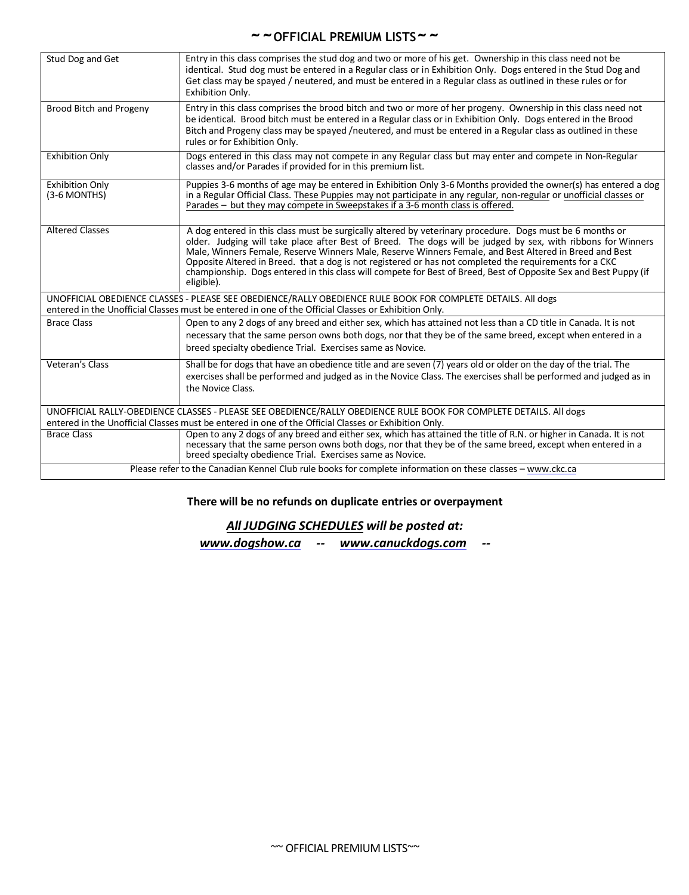| Stud Dog and Get                         | Entry in this class comprises the stud dog and two or more of his get. Ownership in this class need not be<br>identical. Stud dog must be entered in a Regular class or in Exhibition Only. Dogs entered in the Stud Dog and<br>Get class may be spayed / neutered, and must be entered in a Regular class as outlined in these rules or for<br>Exhibition Only.                                                                                                                                                                                                                |
|------------------------------------------|---------------------------------------------------------------------------------------------------------------------------------------------------------------------------------------------------------------------------------------------------------------------------------------------------------------------------------------------------------------------------------------------------------------------------------------------------------------------------------------------------------------------------------------------------------------------------------|
| Brood Bitch and Progeny                  | Entry in this class comprises the brood bitch and two or more of her progeny. Ownership in this class need not<br>be identical. Brood bitch must be entered in a Regular class or in Exhibition Only. Dogs entered in the Brood<br>Bitch and Progeny class may be spayed /neutered, and must be entered in a Regular class as outlined in these<br>rules or for Exhibition Only.                                                                                                                                                                                                |
| <b>Exhibition Only</b>                   | Dogs entered in this class may not compete in any Regular class but may enter and compete in Non-Regular<br>classes and/or Parades if provided for in this premium list.                                                                                                                                                                                                                                                                                                                                                                                                        |
| <b>Exhibition Only</b><br>$(3-6$ MONTHS) | Puppies 3-6 months of age may be entered in Exhibition Only 3-6 Months provided the owner(s) has entered a dog<br>in a Regular Official Class. These Puppies may not participate in any regular, non-regular or unofficial classes or<br>Parades - but they may compete in Sweepstakes if a 3-6 month class is offered.                                                                                                                                                                                                                                                         |
| <b>Altered Classes</b>                   | A dog entered in this class must be surgically altered by veterinary procedure. Dogs must be 6 months or<br>older. Judging will take place after Best of Breed. The dogs will be judged by sex, with ribbons for Winners<br>Male, Winners Female, Reserve Winners Male, Reserve Winners Female, and Best Altered in Breed and Best<br>Opposite Altered in Breed. that a dog is not registered or has not completed the requirements for a CKC<br>championship. Dogs entered in this class will compete for Best of Breed, Best of Opposite Sex and Best Puppy (if<br>eligible). |
|                                          | UNOFFICIAL OBEDIENCE CLASSES - PLEASE SEE OBEDIENCE/RALLY OBEDIENCE RULE BOOK FOR COMPLETE DETAILS. All dogs<br>entered in the Unofficial Classes must be entered in one of the Official Classes or Exhibition Only.                                                                                                                                                                                                                                                                                                                                                            |
| <b>Brace Class</b>                       | Open to any 2 dogs of any breed and either sex, which has attained not less than a CD title in Canada. It is not                                                                                                                                                                                                                                                                                                                                                                                                                                                                |
|                                          | necessary that the same person owns both dogs, nor that they be of the same breed, except when entered in a<br>breed specialty obedience Trial. Exercises same as Novice.                                                                                                                                                                                                                                                                                                                                                                                                       |
| Veteran's Class                          | Shall be for dogs that have an obedience title and are seven (7) years old or older on the day of the trial. The<br>exercises shall be performed and judged as in the Novice Class. The exercises shall be performed and judged as in<br>the Novice Class.                                                                                                                                                                                                                                                                                                                      |
|                                          | UNOFFICIAL RALLY-OBEDIENCE CLASSES - PLEASE SEE OBEDIENCE/RALLY OBEDIENCE RULE BOOK FOR COMPLETE DETAILS. All dogs                                                                                                                                                                                                                                                                                                                                                                                                                                                              |
|                                          | entered in the Unofficial Classes must be entered in one of the Official Classes or Exhibition Only.                                                                                                                                                                                                                                                                                                                                                                                                                                                                            |
| <b>Brace Class</b>                       | Open to any 2 dogs of any breed and either sex, which has attained the title of R.N. or higher in Canada. It is not<br>necessary that the same person owns both dogs, nor that they be of the same breed, except when entered in a<br>breed specialty obedience Trial. Exercises same as Novice.                                                                                                                                                                                                                                                                                |
|                                          | Please refer to the Canadian Kennel Club rule books for complete information on these classes - www.ckc.ca                                                                                                                                                                                                                                                                                                                                                                                                                                                                      |

## **There will be no refunds on duplicate entries or overpayment**

## *All JUDGING SCHEDULES will be posted at:*

*www.dogshow.ca -- www.canuckdogs.com --*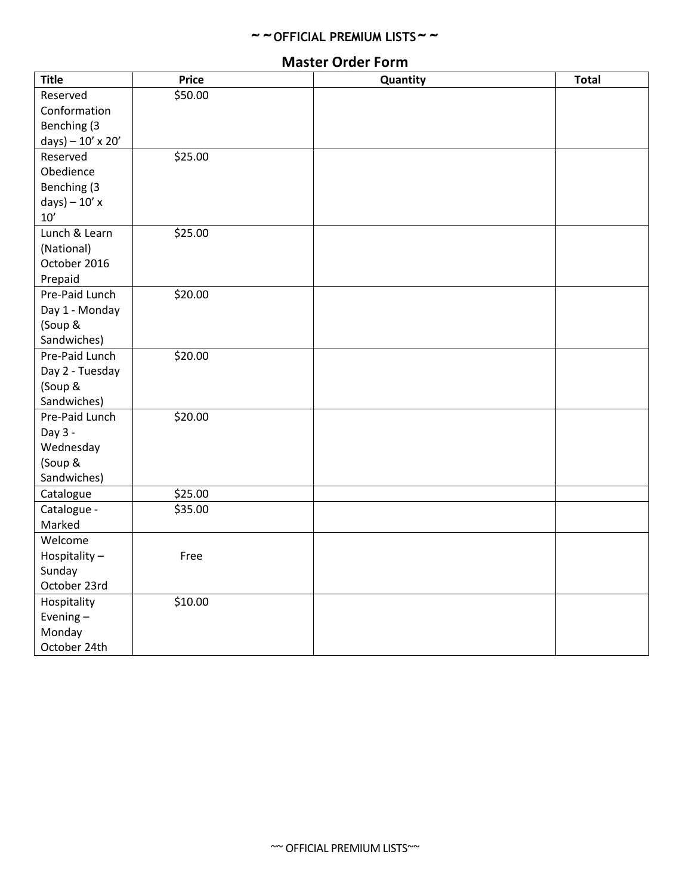## **Master Order Form**

| <b>Title</b>             | <b>Price</b> | Quantity | <b>Total</b> |
|--------------------------|--------------|----------|--------------|
| Reserved                 | \$50.00      |          |              |
| Conformation             |              |          |              |
| Benching (3              |              |          |              |
| $days) - 10' \times 20'$ |              |          |              |
| Reserved                 | \$25.00      |          |              |
| Obedience                |              |          |              |
| Benching (3              |              |          |              |
| $days) - 10' x$          |              |          |              |
| 10'                      |              |          |              |
| Lunch & Learn            | \$25.00      |          |              |
| (National)               |              |          |              |
| October 2016             |              |          |              |
| Prepaid                  |              |          |              |
| Pre-Paid Lunch           | \$20.00      |          |              |
| Day 1 - Monday           |              |          |              |
| (Soup &                  |              |          |              |
| Sandwiches)              |              |          |              |
| Pre-Paid Lunch           | \$20.00      |          |              |
| Day 2 - Tuesday          |              |          |              |
| (Soup &                  |              |          |              |
| Sandwiches)              |              |          |              |
| Pre-Paid Lunch           | \$20.00      |          |              |
| Day 3 -                  |              |          |              |
| Wednesday                |              |          |              |
| (Soup &                  |              |          |              |
| Sandwiches)              |              |          |              |
| Catalogue                | \$25.00      |          |              |
| Catalogue -              | \$35.00      |          |              |
| Marked                   |              |          |              |
| Welcome                  |              |          |              |
| Hospitality-             | Free         |          |              |
| Sunday                   |              |          |              |
| October 23rd             |              |          |              |
| Hospitality              | \$10.00      |          |              |
| Evening-                 |              |          |              |
| Monday                   |              |          |              |
| October 24th             |              |          |              |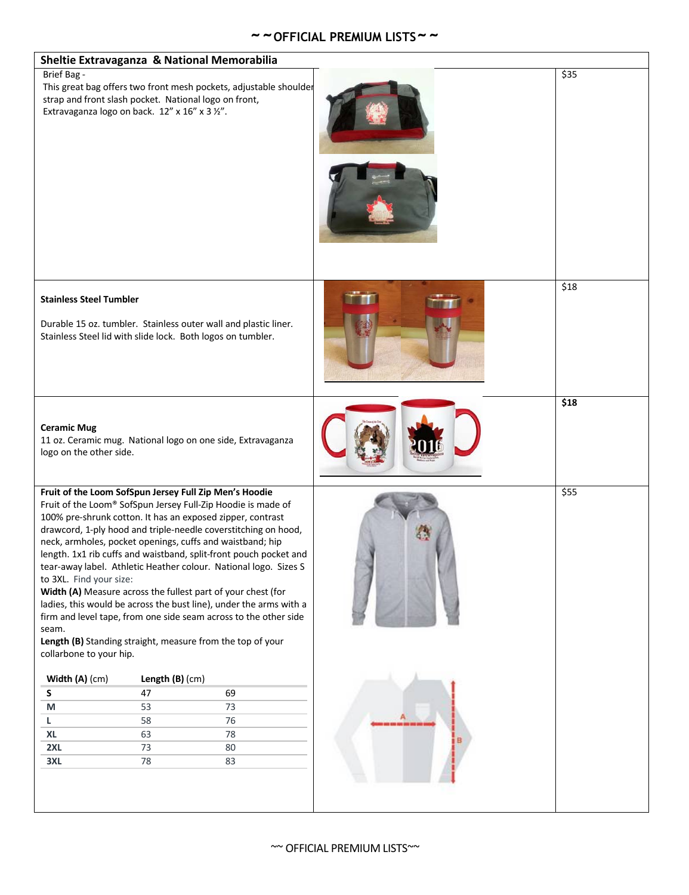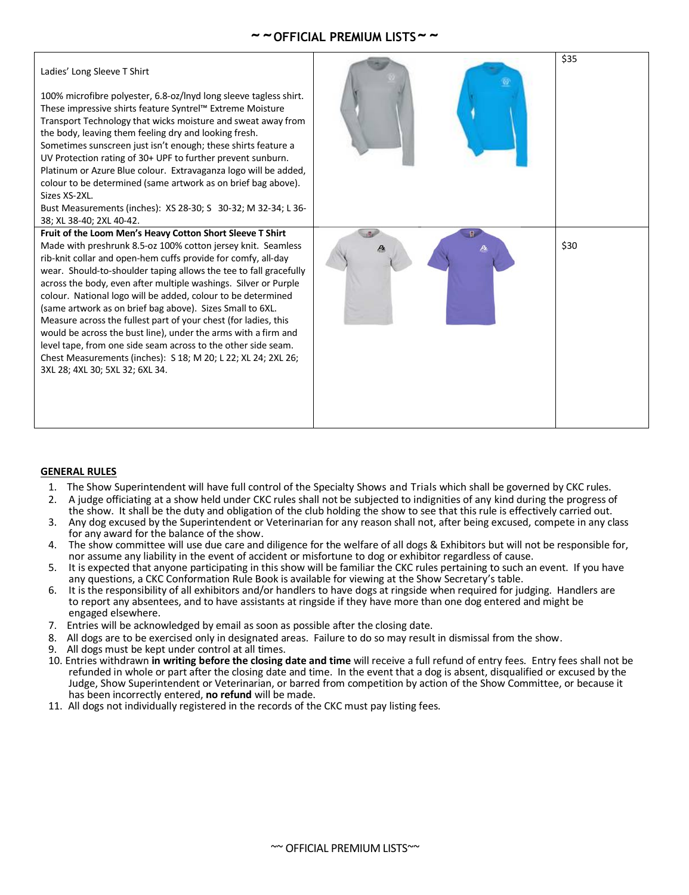#### Ladies' Long Sleeve T Shirt

100% microfibre polyester, 6.8-oz/lnyd long sleeve tagless shirt. These impressive shirts feature Syntrel™ Extreme Moisture Transport Technology that wicks moisture and sweat away from the body, leaving them feeling dry and looking fresh.

Sometimes sunscreen just isn't enough; these shirts feature a UV Protection rating of 30+ UPF to further prevent sunburn. Platinum or Azure Blue colour. Extravaganza logo will be added, colour to be determined (same artwork as on brief bag above). Sizes YS-2XL

Bust Measurements (inches): XS 28-30; S 30-32; M 32-34; L 36- 38; XL 38-40; 2XL 40-42.

#### **Fruit of the Loom Men's Heavy Cotton Short Sleeve T Shirt**

Made with preshrunk 8.5-oz 100% cotton jersey knit. Seamless rib-knit collar and open-hem cuffs provide for comfy, all-day wear. Should-to-shoulder taping allows the tee to fall gracefully across the body, even after multiple washings. Silver or Purple colour. National logo will be added, colour to be determined (same artwork as on brief bag above). Sizes Small to 6XL. Measure across the fullest part of your chest (for ladies, this would be across the bust line), under the arms with a firm and level tape, from one side seam across to the other side seam. Chest Measurements (inches): S 18; M 20; L 22; XL 24; 2XL 26; 3XL 28; 4XL 30; 5XL 32; 6XL 34.



#### **GENERAL RULES**

- 1. The Show Superintendent will have full control of the Specialty Shows and Trials which shall be governed by CKC rules.
- 2. A judge officiating at a show held under CKC rules shall not be subjected to indignities of any kind during the progress of
- the show. It shall be the duty and obligation of the club holding the show to see that this rule is effectively carried out. 3. Any dog excused by the Superintendent or Veterinarian for any reason shall not, after being excused, compete in any class
- for any award for the balance of the show.
- 4. The show committee will use due care and diligence for the welfare of all dogs & Exhibitors but will not be responsible for, nor assume any liability in the event of accident or misfortune to dog or exhibitor regardless of cause.
- 5. It is expected that anyone participating in this show will be familiar the CKC rules pertaining to such an event. If you have any questions, a CKC Conformation Rule Book is available for viewing at the Show Secretary's table.
- 6. It is the responsibility of all exhibitors and/or handlers to have dogs at ringside when required for judging. Handlers are to report any absentees, and to have assistants at ringside if they have more than one dog entered and might be engaged elsewhere.
- 7. Entries will be acknowledged by email as soon as possible after the closing date.
- 8. All dogs are to be exercised only in designated areas. Failure to do so may result in dismissal from the show.<br>9. All dogs must be kept under control at all times.
- All dogs must be kept under control at all times.
- 10. Entries withdrawn **in writing before the closing date and time** will receive a full refund of entry fees. Entry fees shall not be refunded in whole or part after the closing date and time. In the event that a dog is absent, disqualified or excused by the Judge, Show Superintendent or Veterinarian, or barred from competition by action of the Show Committee, or because it has been incorrectly entered, **no refund** will be made.
- 11. All dogs not individually registered in the records of the CKC must pay listing fees.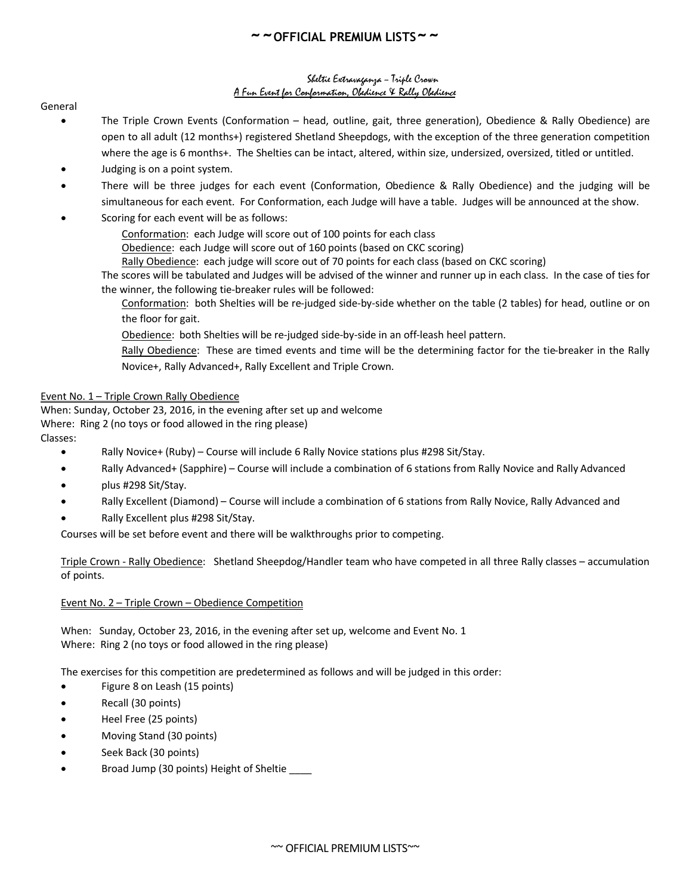#### Sheltie Extravaganza – Triple Crown A Fun Event for Conformation, Obedience & Rally Obedience

General

- The Triple Crown Events (Conformation head, outline, gait, three generation), Obedience & Rally Obedience) are open to all adult (12 months+) registered Shetland Sheepdogs, with the exception of the three generation competition where the age is 6 months+. The Shelties can be intact, altered, within size, undersized, oversized, titled or untitled.
- Judging is on a point system.
- There will be three judges for each event (Conformation, Obedience & Rally Obedience) and the judging will be simultaneous for each event. For Conformation, each Judge will have a table. Judges will be announced at the show.
- Scoring for each event will be as follows:
	- Conformation: each Judge will score out of 100 points for each class
	- Obedience: each Judge will score out of 160 points (based on CKC scoring)
	- Rally Obedience: each judge will score out of 70 points for each class (based on CKC scoring)

The scores will be tabulated and Judges will be advised of the winner and runner up in each class. In the case of ties for the winner, the following tie-breaker rules will be followed:

Conformation: both Shelties will be re-judged side-by-side whether on the table (2 tables) for head, outline or on the floor for gait.

Obedience: both Shelties will be re-judged side-by-side in an off-leash heel pattern.

Rally Obedience: These are timed events and time will be the determining factor for the tie-breaker in the Rally Novice+, Rally Advanced+, Rally Excellent and Triple Crown.

#### Event No. 1 – Triple Crown Rally Obedience

When: Sunday, October 23, 2016, in the evening after set up and welcome Where: Ring 2 (no toys or food allowed in the ring please) Classes:

- Rally Novice+ (Ruby) Course will include 6 Rally Novice stations plus #298 Sit/Stay.
- Rally Advanced+ (Sapphire) Course will include a combination of 6 stations from Rally Novice and Rally Advanced
- plus #298 Sit/Stay.
- Rally Excellent (Diamond) Course will include a combination of 6 stations from Rally Novice, Rally Advanced and
- Rally Excellent plus #298 Sit/Stay.

Courses will be set before event and there will be walkthroughs prior to competing.

Triple Crown - Rally Obedience: Shetland Sheepdog/Handler team who have competed in all three Rally classes – accumulation of points.

#### Event No. 2 – Triple Crown – Obedience Competition

When: Sunday, October 23, 2016, in the evening after set up, welcome and Event No. 1 Where: Ring 2 (no toys or food allowed in the ring please)

The exercises for this competition are predetermined as follows and will be judged in this order:

- Figure 8 on Leash (15 points)
- Recall (30 points)
- Heel Free (25 points)
- Moving Stand (30 points)
- Seek Back (30 points)
- Broad Jump (30 points) Height of Sheltie \_\_\_\_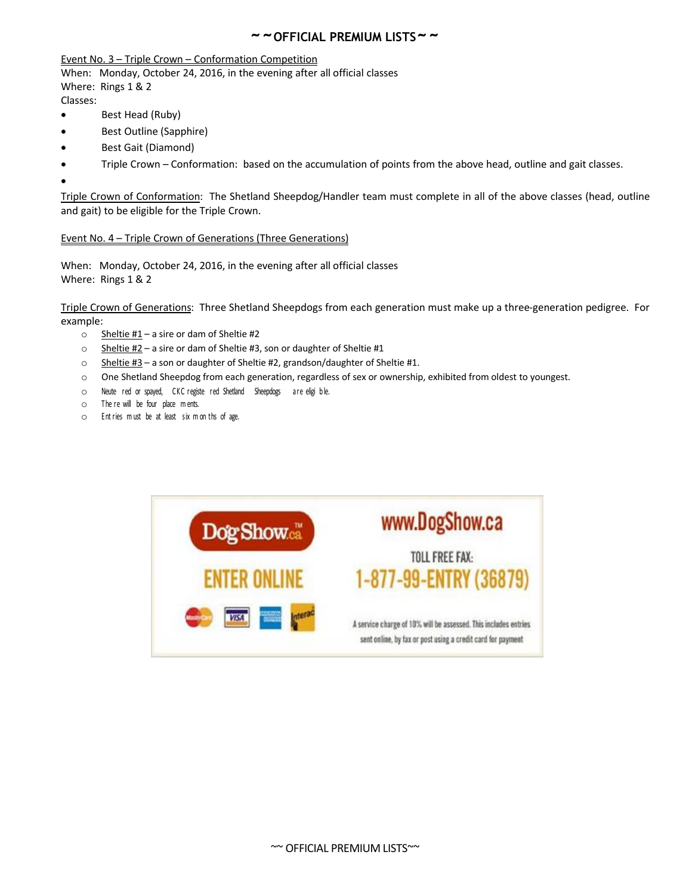#### Event No. 3 – Triple Crown – Conformation Competition

When: Monday, October 24, 2016, in the evening after all official classes Where: Rings 1 & 2

Classes:

- Best Head (Ruby)
- Best Outline (Sapphire)
- Best Gait (Diamond)
- Triple Crown Conformation: based on the accumulation of points from the above head, outline and gait classes.

 $\bullet$ 

Triple Crown of Conformation: The Shetland Sheepdog/Handler team must complete in all of the above classes (head, outline and gait) to be eligible for the Triple Crown.

#### Event No. 4 – Triple Crown of Generations (Three Generations)

When: Monday, October 24, 2016, in the evening after all official classes Where: Rings 1 & 2

Triple Crown of Generations: Three Shetland Sheepdogs from each generation must make up a three-generation pedigree. For example:

- $\circ$  Sheltie #1 a sire or dam of Sheltie #2
- o Sheltie #2 a sire or dam of Sheltie #3, son or daughter of Sheltie #1
- $\circ$  Sheltie #3 a son or daughter of Sheltie #2, grandson/daughter of Sheltie #1.
- o One Shetland Sheepdog from each generation, regardless of sex or ownership, exhibited from oldest to youngest.
- o Neute red or spayed, CKC registe red Shetland Sheepdogs are eligi ble.
- o The re will be four place <sup>m</sup> ents.
- o Ent ries <sup>m</sup> ust be at least six <sup>m</sup> on ths of age.

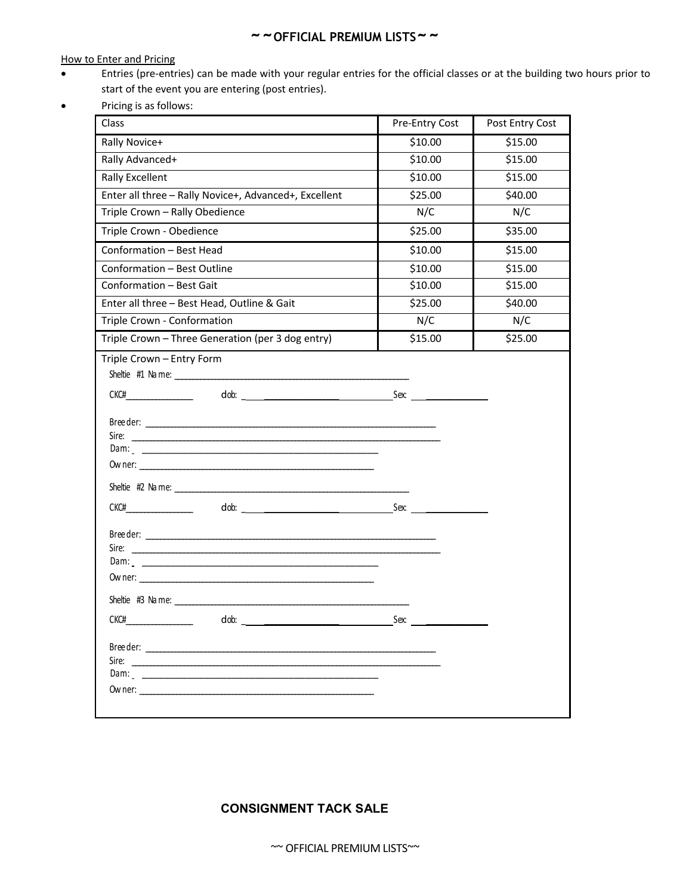How to Enter and Pricing

- Entries (pre-entries) can be made with your regular entries for the official classes or at the building two hours prior to start of the event you are entering (post entries).
- Pricing is as follows:

| Class                                                                                                                  | Pre-Entry Cost | Post Entry Cost |
|------------------------------------------------------------------------------------------------------------------------|----------------|-----------------|
| Rally Novice+                                                                                                          | \$10.00        | \$15.00         |
| Rally Advanced+                                                                                                        | \$10.00        | \$15.00         |
| <b>Rally Excellent</b>                                                                                                 | \$10.00        | \$15.00         |
| Enter all three - Rally Novice+, Advanced+, Excellent                                                                  | \$25.00        | \$40.00         |
| Triple Crown - Rally Obedience                                                                                         | N/C            | N/C             |
| Triple Crown - Obedience                                                                                               | \$25.00        | \$35.00         |
| Conformation - Best Head                                                                                               | \$10.00        | \$15.00         |
| Conformation - Best Outline                                                                                            | \$10.00        | \$15.00         |
| Conformation - Best Gait                                                                                               | \$10.00        | \$15.00         |
| Enter all three - Best Head, Outline & Gait                                                                            | \$25.00        | \$40.00         |
| Triple Crown - Conformation                                                                                            | N/C            | N/C             |
| Triple Crown - Three Generation (per 3 dog entry)                                                                      | \$15.00        | \$25.00         |
| Triple Crown - Entry Form<br>CKCH<br>dob: Sex:<br>Sire:<br><u> 1989 - Johann Stein, Amerikaansk politiker (* 1908)</u> | Sex:           |                 |
| Sire:                                                                                                                  |                |                 |

## **CONSIGNMENT TACK SALE**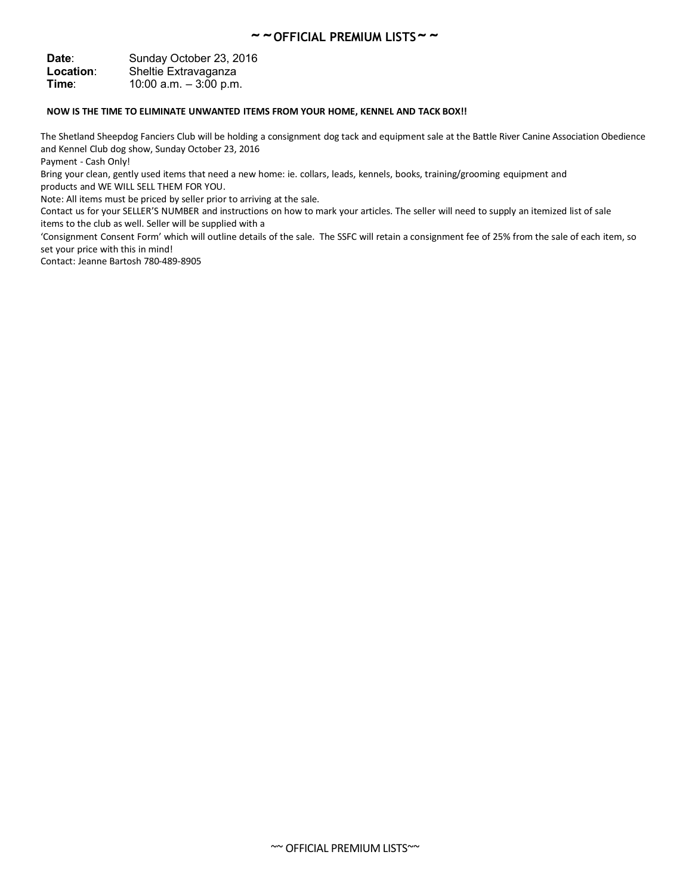Date: Sunday October 23, 2016 **Location**: Sheltie Extravaganza **Time**: 10:00 a.m. – 3:00 p.m.

#### **NOW IS THE TIME TO ELIMINATE UNWANTED ITEMS FROM YOUR HOME, KENNEL AND TACK BOX!!**

The Shetland Sheepdog Fanciers Club will be holding a consignment dog tack and equipment sale at the Battle River Canine Association Obedience and Kennel Club dog show, Sunday October 23, 2016

Payment - Cash Only!

Bring your clean, gently used items that need a new home: ie. collars, leads, kennels, books, training/grooming equipment and products and WE WILL SELL THEM FOR YOU.

Note: All items must be priced by seller prior to arriving at the sale.

Contact us for your SELLER'S NUMBER and instructions on how to mark your articles. The seller will need to supply an itemized list of sale items to the club as well. Seller will be supplied with a

'Consignment Consent Form' which will outline details of the sale. The SSFC will retain a consignment fee of 25% from the sale of each item, so set your price with this in mind!

Contact: Jeanne Bartosh 780-489-8905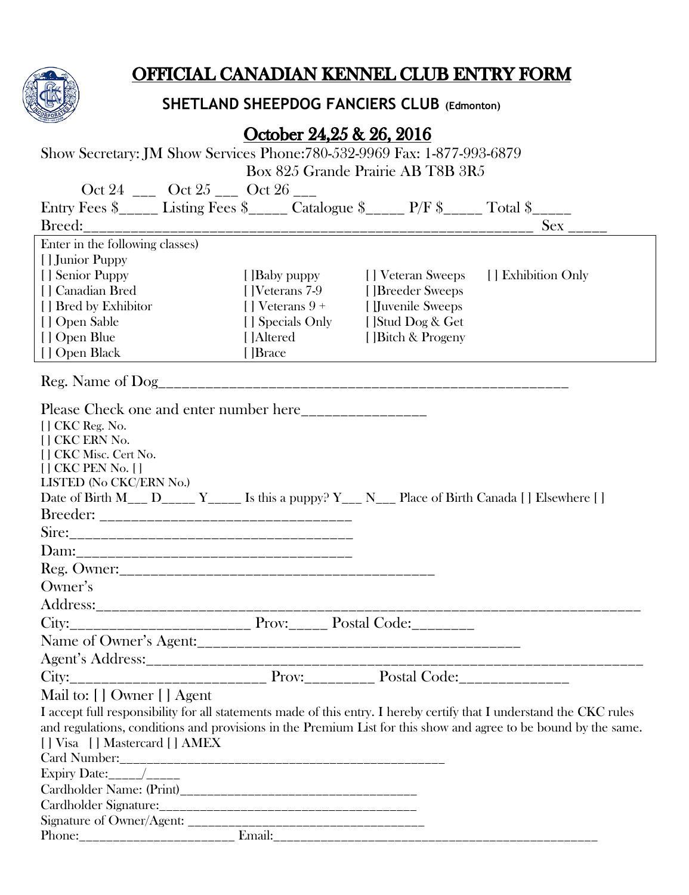

# OFFICIAL CANADIAN KENNEL CLUB ENTRY FORM

# **SHETLAND SHEEPDOG FANCIERS CLUB (Edmonton)**

# October 24,25 & 26, 2016

| Show Secretary: JM Show Services Phone: 780-532-9969 Fax: 1-877-993-6879 |                                   |  |
|--------------------------------------------------------------------------|-----------------------------------|--|
|                                                                          | Box 825 Grande Prairie AB T8B 3R5 |  |

| Oct 24 ____ Oct 25 ____ Oct 26 ___                                                                                   |                         |                                    |                    |
|----------------------------------------------------------------------------------------------------------------------|-------------------------|------------------------------------|--------------------|
| Entry Fees \$_____ Listing Fees \$_____ Catalogue \$_____ P/F \$_____ Total \$_____                                  |                         |                                    |                    |
|                                                                                                                      |                         |                                    | $Sex \_$           |
| Enter in the following classes)                                                                                      |                         |                                    |                    |
| [] Junior Puppy                                                                                                      |                         |                                    |                    |
| [] Senior Puppy                                                                                                      | [ Baby puppy            | [] Veteran Sweeps                  | [] Exhibition Only |
| [] Canadian Bred                                                                                                     | [  Veterans 7-9         | [ ]Breeder Sweeps                  |                    |
| [] Bred by Exhibitor                                                                                                 | $\lceil$   Veterans 9 + | [ <i>Juvenile</i> Sweeps           |                    |
| [] Open Sable                                                                                                        |                         | [] Specials Only [] Stud Dog & Get |                    |
| [] Open Blue                                                                                                         | [ ]Altered              | [ Bitch & Progeny                  |                    |
| [] Open Black                                                                                                        | []Brace                 |                                    |                    |
|                                                                                                                      |                         |                                    |                    |
| Please Check one and enter number here________________                                                               |                         |                                    |                    |
| [] CKC Reg. No.                                                                                                      |                         |                                    |                    |
| [] CKC ERN No.                                                                                                       |                         |                                    |                    |
| [] CKC Misc. Cert No.                                                                                                |                         |                                    |                    |
| $[$ $]$ CKC PEN No. $[$ $]$<br>LISTED (No CKC/ERN No.)                                                               |                         |                                    |                    |
| Date of Birth M <sub>___</sub> D_____ Y_____ Is this a puppy? Y___ N___ Place of Birth Canada [] Elsewhere []        |                         |                                    |                    |
|                                                                                                                      |                         |                                    |                    |
|                                                                                                                      |                         |                                    |                    |
|                                                                                                                      |                         |                                    |                    |
|                                                                                                                      |                         |                                    |                    |
| Owner's                                                                                                              |                         |                                    |                    |
|                                                                                                                      |                         |                                    |                    |
|                                                                                                                      |                         |                                    |                    |
|                                                                                                                      |                         |                                    |                    |
|                                                                                                                      |                         |                                    |                    |
|                                                                                                                      |                         |                                    |                    |
| Mail to: [] Owner [] Agent                                                                                           |                         |                                    |                    |
| I accept full responsibility for all statements made of this entry. I hereby certify that I understand the CKC rules |                         |                                    |                    |
| and regulations, conditions and provisions in the Premium List for this show and agree to be bound by the same.      |                         |                                    |                    |
| [] Visa [] Mastercard [] AMEX                                                                                        |                         |                                    |                    |
|                                                                                                                      |                         |                                    |                    |
|                                                                                                                      |                         |                                    |                    |
|                                                                                                                      |                         |                                    |                    |
|                                                                                                                      |                         |                                    |                    |
|                                                                                                                      |                         |                                    |                    |
|                                                                                                                      |                         |                                    |                    |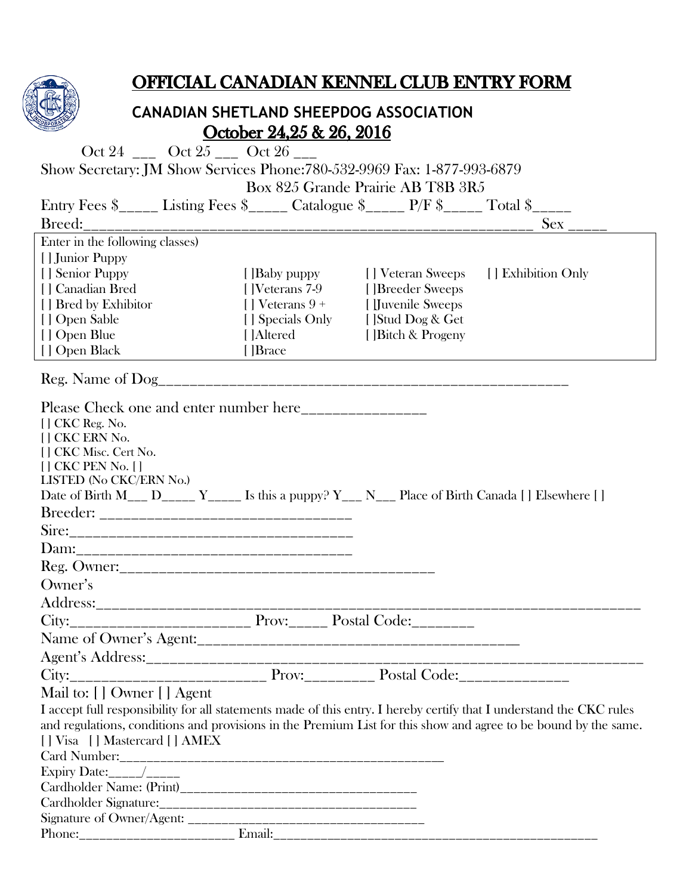

# OFFICIAL CANADIAN KENNEL CLUB ENTRY FORM

## **CANADIAN SHETLAND SHEEPDOG ASSOCIATION** October 24,25 & 26, 2016

| Oct 24 ____ Oct 25 ____ Oct 26 ___                                                                                   |                                    |                                    |                        |
|----------------------------------------------------------------------------------------------------------------------|------------------------------------|------------------------------------|------------------------|
| Show Secretary: JM Show Services Phone: 780-532-9969 Fax: 1-877-993-6879                                             |                                    |                                    |                        |
|                                                                                                                      |                                    | Box 825 Grande Prairie AB T8B 3R5  |                        |
| Entry Fees $\frac{1}{2}$ Listing Fees $\frac{1}{2}$ Catalogue $\frac{1}{2}$ P/F $\frac{1}{2}$ Total $\frac{1}{2}$    |                                    |                                    |                        |
|                                                                                                                      |                                    |                                    | $Sex$ <sub>-----</sub> |
| Enter in the following classes)                                                                                      |                                    |                                    |                        |
| [] Junior Puppy                                                                                                      |                                    |                                    |                        |
| [] Senior Puppy                                                                                                      | [ ]Baby puppy                      | [] Veteran Sweeps                  | [] Exhibition Only     |
| [] Canadian Bred                                                                                                     | [  Veterans 7-9                    | [ ]Breeder Sweeps                  |                        |
| [] Bred by Exhibitor                                                                                                 | $\lceil \cdot \rceil$ Veterans 9 + | [ <i>Juvenile Sweeps</i>           |                        |
| [] Open Sable                                                                                                        |                                    | [] Specials Only [] Stud Dog & Get |                        |
| [] Open Blue                                                                                                         | [ ]Altered                         | [ Bitch & Progeny                  |                        |
| [] Open Black                                                                                                        | [ Brace]                           |                                    |                        |
|                                                                                                                      |                                    |                                    |                        |
| Please Check one and enter number here________________                                                               |                                    |                                    |                        |
| [] CKC Reg. No.                                                                                                      |                                    |                                    |                        |
| [] CKC ERN No.                                                                                                       |                                    |                                    |                        |
| [] CKC Misc. Cert No.                                                                                                |                                    |                                    |                        |
| $[$ $]$ CKC PEN No. $[$ $]$                                                                                          |                                    |                                    |                        |
| LISTED (No CKC/ERN No.)                                                                                              |                                    |                                    |                        |
| Date of Birth M <sub>___</sub> D_____ Y_____ Is this a puppy? Y___ N___ Place of Birth Canada [] Elsewhere []        |                                    |                                    |                        |
|                                                                                                                      |                                    |                                    |                        |
|                                                                                                                      |                                    |                                    |                        |
|                                                                                                                      |                                    |                                    |                        |
|                                                                                                                      |                                    |                                    |                        |
| Owner's                                                                                                              |                                    |                                    |                        |
|                                                                                                                      |                                    |                                    |                        |
|                                                                                                                      |                                    |                                    |                        |
|                                                                                                                      |                                    |                                    |                        |
|                                                                                                                      |                                    |                                    |                        |
| City:                                                                                                                |                                    |                                    |                        |
| Mail to: [] Owner [] Agent                                                                                           |                                    |                                    |                        |
| I accept full responsibility for all statements made of this entry. I hereby certify that I understand the CKC rules |                                    |                                    |                        |
| and regulations, conditions and provisions in the Premium List for this show and agree to be bound by the same.      |                                    |                                    |                        |
| [] Visa [] Mastercard [] AMEX                                                                                        |                                    |                                    |                        |
|                                                                                                                      |                                    |                                    |                        |
|                                                                                                                      |                                    |                                    |                        |
|                                                                                                                      |                                    |                                    |                        |
|                                                                                                                      |                                    |                                    |                        |
|                                                                                                                      |                                    |                                    |                        |
|                                                                                                                      |                                    |                                    |                        |